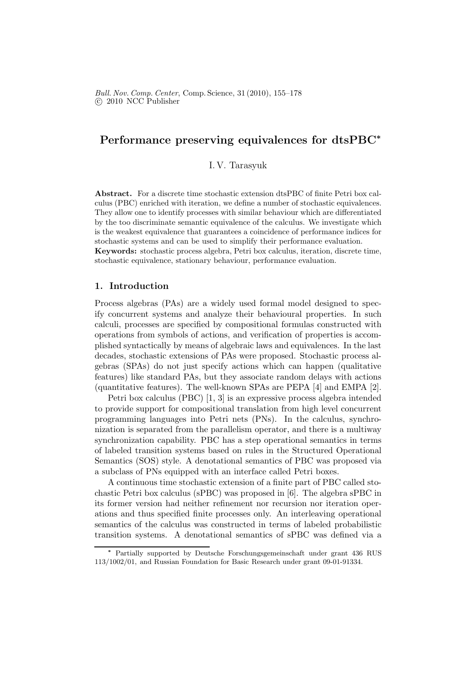# Performance preserving equivalences for dtsPBC<sup>∗</sup>

I. V. Tarasyuk

Abstract. For a discrete time stochastic extension dtsPBC of finite Petri box calculus (PBC) enriched with iteration, we define a number of stochastic equivalences. They allow one to identify processes with similar behaviour which are differentiated by the too discriminate semantic equivalence of the calculus. We investigate which is the weakest equivalence that guarantees a coincidence of performance indices for stochastic systems and can be used to simplify their performance evaluation. Keywords: stochastic process algebra, Petri box calculus, iteration, discrete time,

stochastic equivalence, stationary behaviour, performance evaluation.

## 1. Introduction

Process algebras (PAs) are a widely used formal model designed to specify concurrent systems and analyze their behavioural properties. In such calculi, processes are specified by compositional formulas constructed with operations from symbols of actions, and verification of properties is accomplished syntactically by means of algebraic laws and equivalences. In the last decades, stochastic extensions of PAs were proposed. Stochastic process algebras (SPAs) do not just specify actions which can happen (qualitative features) like standard PAs, but they associate random delays with actions (quantitative features). The well-known SPAs are PEPA [4] and EMPA [2].

Petri box calculus (PBC) [1, 3] is an expressive process algebra intended to provide support for compositional translation from high level concurrent programming languages into Petri nets (PNs). In the calculus, synchronization is separated from the parallelism operator, and there is a multiway synchronization capability. PBC has a step operational semantics in terms of labeled transition systems based on rules in the Structured Operational Semantics (SOS) style. A denotational semantics of PBC was proposed via a subclass of PNs equipped with an interface called Petri boxes.

A continuous time stochastic extension of a finite part of PBC called stochastic Petri box calculus (sPBC) was proposed in [6]. The algebra sPBC in its former version had neither refinement nor recursion nor iteration operations and thus specified finite processes only. An interleaving operational semantics of the calculus was constructed in terms of labeled probabilistic transition systems. A denotational semantics of sPBC was defined via a

Partially supported by Deutsche Forschungsgemeinschaft under grant 436 RUS 113/1002/01, and Russian Foundation for Basic Research under grant 09-01-91334.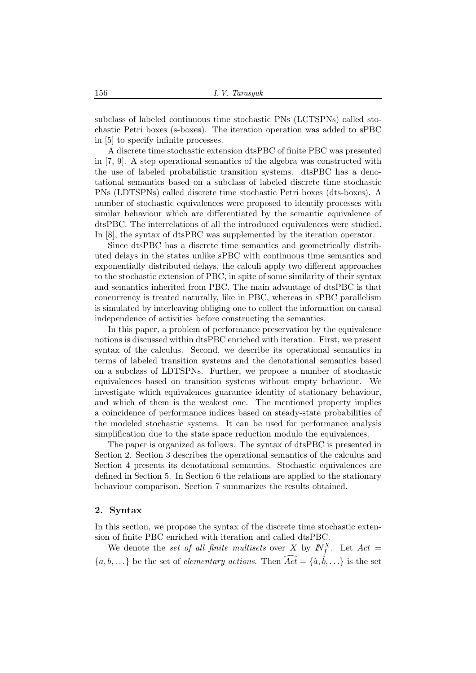subclass of labeled continuous time stochastic PNs (LCTSPNs) called stochastic Petri boxes (s-boxes). The iteration operation was added to sPBC in [5] to specify infinite processes.

A discrete time stochastic extension dtsPBC of finite PBC was presented in [7, 9]. A step operational semantics of the algebra was constructed with the use of labeled probabilistic transition systems. dtsPBC has a denotational semantics based on a subclass of labeled discrete time stochastic PNs (LDTSPNs) called discrete time stochastic Petri boxes (dts-boxes). A number of stochastic equivalences were proposed to identify processes with similar behaviour which are differentiated by the semantic equivalence of dtsPBC. The interrelations of all the introduced equivalences were studied. In [8], the syntax of dtsPBC was supplemented by the iteration operator.

Since dtsPBC has a discrete time semantics and geometrically distributed delays in the states unlike sPBC with continuous time semantics and exponentially distributed delays, the calculi apply two different approaches to the stochastic extension of PBC, in spite of some similarity of their syntax and semantics inherited from PBC. The main advantage of dtsPBC is that concurrency is treated naturally, like in PBC, whereas in sPBC parallelism is simulated by interleaving obliging one to collect the information on causal independence of activities before constructing the semantics.

In this paper, a problem of performance preservation by the equivalence notions is discussed within dtsPBC enriched with iteration. First, we present syntax of the calculus. Second, we describe its operational semantics in terms of labeled transition systems and the denotational semantics based on a subclass of LDTSPNs. Further, we propose a number of stochastic equivalences based on transition systems without empty behaviour. We investigate which equivalences guarantee identity of stationary behaviour, and which of them is the weakest one. The mentioned property implies a coincidence of performance indices based on steady-state probabilities of the modeled stochastic systems. It can be used for performance analysis simplification due to the state space reduction modulo the equivalences.

The paper is organized as follows. The syntax of dtsPBC is presented in Section 2. Section 3 describes the operational semantics of the calculus and Section 4 presents its denotational semantics. Stochastic equivalences are defined in Section 5. In Section 6 the relations are applied to the stationary behaviour comparison. Section 7 summarizes the results obtained.

## 2. Syntax

In this section, we propose the syntax of the discrete time stochastic extension of finite PBC enriched with iteration and called dtsPBC.

We denote the *set of all finite multisets* over X by  $N_f^X$ . Let  $Act =$  $\{a, b, \ldots\}$  be the set of *elementary actions*. Then  $\widehat{Act} = \{\hat{a}, \hat{b}, \ldots\}$  is the set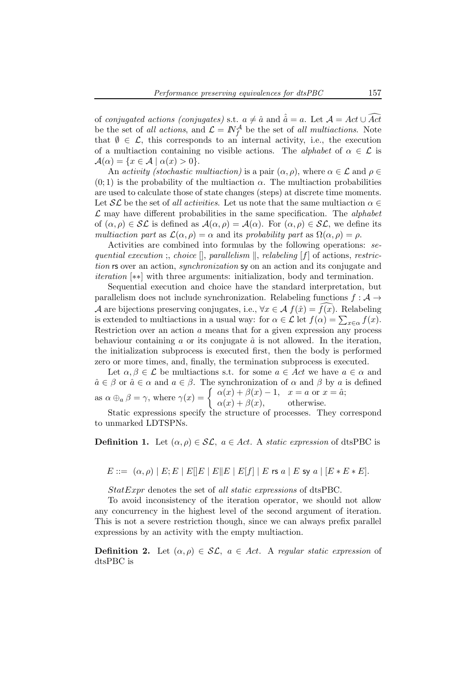of *conjugated actions (conjugates)* s.t.  $a \neq \hat{a}$  and  $\hat{a} = a$ . Let  $\mathcal{A} = Act \cup \widehat{Act}$ be the set of *all actions*, and  $\mathcal{L} = \mathbb{N}_{f}^{\mathcal{A}}$  be the set of *all multiactions*. Note that  $\emptyset \in \mathcal{L}$ , this corresponds to an internal activity, i.e., the execution of a multiaction containing no visible actions. The *alphabet* of  $\alpha \in \mathcal{L}$  is  $\mathcal{A}(\alpha) = \{x \in \mathcal{A} \mid \alpha(x) > 0\}.$ 

An *activity (stochastic multiaction)* is a pair  $(\alpha, \rho)$ , where  $\alpha \in \mathcal{L}$  and  $\rho \in$  $(0, 1)$  is the probability of the multiaction  $\alpha$ . The multiaction probabilities are used to calculate those of state changes (steps) at discrete time moments. Let  $\mathcal{SL}$  be the set of *all activities*. Let us note that the same multiaction  $\alpha \in \mathcal{SL}$ L may have different probabilities in the same specification. The *alphabet* of  $(\alpha, \rho) \in \mathcal{SL}$  is defined as  $\mathcal{A}(\alpha, \rho) = \mathcal{A}(\alpha)$ . For  $(\alpha, \rho) \in \mathcal{SL}$ , we define its *multiaction part* as  $\mathcal{L}(\alpha, \rho) = \alpha$  and its *probability part* as  $\Omega(\alpha, \rho) = \rho$ .

Activities are combined into formulas by the following operations: *sequential execution*; *choice*  $\parallel$ , *parallelism*  $\parallel$ , *relabeling* [f] of actions, *restriction* rs over an action, *synchronization* sy on an action and its conjugate and *iteration* [∗∗] with three arguments: initialization, body and termination.

Sequential execution and choice have the standard interpretation, but parallelism does not include synchronization. Relabeling functions  $f : A \rightarrow$ A are bijections preserving conjugates, i.e.,  $\forall x \in \mathcal{A}$   $f(\hat{x}) = f(x)$ . Relabeling is extended to multiactions in a usual way: for  $\alpha \in \mathcal{L}$  let  $f(\alpha) = \sum_{x \in \alpha} f(x)$ . Restriction over an action a means that for a given expression any process behaviour containing  $\alpha$  or its conjugate  $\hat{\alpha}$  is not allowed. In the iteration, the initialization subprocess is executed first, then the body is performed zero or more times, and, finally, the termination subprocess is executed.

Let  $\alpha, \beta \in \mathcal{L}$  be multiactions s.t. for some  $a \in Act$  we have  $a \in \alpha$  and  $\hat{a} \in \beta$  or  $\hat{a} \in \alpha$  and  $a \in \beta$ . The synchronization of  $\alpha$  and  $\beta$  by  $a$  is defined as  $\alpha \oplus_{a} \beta = \gamma$ , where  $\gamma(x) = \begin{cases} \alpha(x) + \beta(x) - 1, & x = a \text{ or } x = \hat{a}; \\ \alpha(x) + \beta(x) & \text{otherwise}. \end{cases}$  $\alpha(x) + \beta(x)$ , otherwise.

Static expressions specify the structure of processes. They correspond to unmarked LDTSPNs.

**Definition 1.** Let  $(\alpha, \rho) \in \mathcal{SL}$ ,  $a \in Act$ . A *static expression* of dtsPBC is

 $E ::= (\alpha, \rho) | E; E | E | E | E | E | E | F |$  | E | E | E | E | E | E | E | E | Sy a | [E \* E \* E].

StatExpr denotes the set of *all static expressions* of dtsPBC.

To avoid inconsistency of the iteration operator, we should not allow any concurrency in the highest level of the second argument of iteration. This is not a severe restriction though, since we can always prefix parallel expressions by an activity with the empty multiaction.

**Definition 2.** Let  $(\alpha, \rho) \in \mathcal{SL}$ ,  $a \in Act$ . A *regular static expression* of dtsPBC is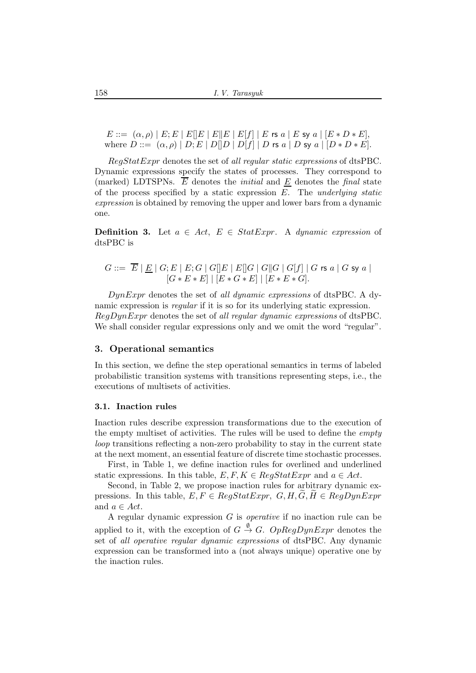$E ::= (\alpha, \rho) | E; E | E | E | E | E | E | E | f | E \text{ is a | } E \text{ sy a} | [E * D * E],$ where  $D ::= (\alpha, \rho) | D; E | D[|D | D[f] | D$  rs  $a | D$  sy  $a | [D * D * E].$ 

RegStatExpr denotes the set of *all regular static expressions* of dtsPBC. Dynamic expressions specify the states of processes. They correspond to (marked) LDTSPNs.  $\overline{E}$  denotes the *initial* and  $E$  denotes the *final* state of the process specified by a static expression E. The *underlying static expression* is obtained by removing the upper and lower bars from a dynamic one.

**Definition 3.** Let  $a \in Act$ ,  $E \in StatExpr$ . A *dynamic expression* of dtsPBC is

$$
G ::= \overline{E} | \underline{E} | G; E | E; G | G[]E | E[]G | G[]G | G[f] | G \text{ rs } a | G \text{ sy } a |
$$
  

$$
[G * E * E] | [E * G * E] | [E * E * G].
$$

DynExpr denotes the set of *all dynamic expressions* of dtsPBC. A dynamic expression is *regular* if it is so for its underlying static expression. RegDynExpr denotes the set of *all regular dynamic expressions* of dtsPBC. We shall consider regular expressions only and we omit the word "regular".

### 3. Operational semantics

In this section, we define the step operational semantics in terms of labeled probabilistic transition systems with transitions representing steps, i.e., the executions of multisets of activities.

### 3.1. Inaction rules

Inaction rules describe expression transformations due to the execution of the empty multiset of activities. The rules will be used to define the *empty loop* transitions reflecting a non-zero probability to stay in the current state at the next moment, an essential feature of discrete time stochastic processes.

First, in Table 1, we define inaction rules for overlined and underlined static expressions. In this table,  $E, F, K \in \text{RegStatExpr}$  and  $a \in \text{Act.}$ 

Second, in Table 2, we propose inaction rules for arbitrary dynamic expressions. In this table,  $E, F \in \text{Reaf}$  Expressions.  $G, H, G, H \in \text{Re}$  Equivalentle Expressions. and  $a \in Act$ .

A regular dynamic expression G is *operative* if no inaction rule can be applied to it, with the exception of  $G \stackrel{\emptyset}{\rightarrow} G$ .  $OpRegDynExpr$  denotes the set of *all operative regular dynamic expressions* of dtsPBC. Any dynamic expression can be transformed into a (not always unique) operative one by the inaction rules.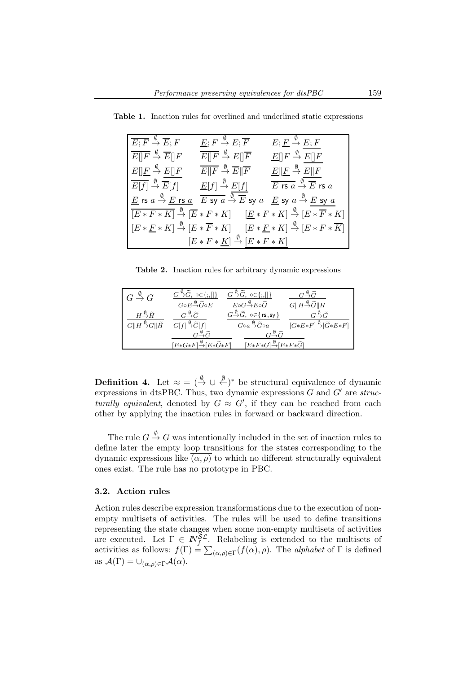| $\overline{E; F} \overset{\emptyset}{\rightarrow} \overline{E}; F$ | $\underline{E}; F \stackrel{\emptyset}{\to} E; \overline{F}$                                                                                                                                                                                               | $E; E \stackrel{\emptyset}{\rightarrow} E; F$                                                                                                        |  |  |
|--------------------------------------------------------------------|------------------------------------------------------------------------------------------------------------------------------------------------------------------------------------------------------------------------------------------------------------|------------------------------------------------------------------------------------------------------------------------------------------------------|--|--|
| $\overline{E  F} \overset{\emptyset}{\rightarrow} \overline{E  F}$ | $\overline{E  F} \stackrel{\emptyset}{\to} E  \overline{F}$                                                                                                                                                                                                | $\underline{E}[[F \stackrel{\emptyset}{\to} E][F$                                                                                                    |  |  |
| $E  E \stackrel{\emptyset}{\to} E  F$                              | $\overline{E  F}\overset{\emptyset}{\rightarrow}\overline{E  \overline{F}}$                                                                                                                                                                                | $E\Vert \underline{F} \stackrel{\emptyset}{\to} E\Vert F$                                                                                            |  |  |
|                                                                    | $\overline{E[f]} \stackrel{\emptyset}{\to} \overline{E}[f] \qquad \underline{E}[f] \stackrel{\emptyset}{\to} E[f] \qquad \overline{E \text{ rs } a} \stackrel{\emptyset}{\to} \overline{E} \text{ rs } a$                                                  |                                                                                                                                                      |  |  |
|                                                                    | $\underline{E}$ rs $a \xrightarrow{\emptyset} \underline{E}$ rs $\underline{a}$ $\overline{E}$ sy $\overline{a} \xrightarrow{\emptyset} \overline{E}$ sy $a \xrightarrow{E} \underline{E}$ sy $\underline{a} \xrightarrow{\emptyset} E$ sy $\underline{a}$ |                                                                                                                                                      |  |  |
|                                                                    |                                                                                                                                                                                                                                                            | $\overline{[E * F * K]} \stackrel{\emptyset}{\to} \overline{[E * F * K]}$ $\underline{[E * F * K]} \stackrel{\emptyset}{\to} \overline{[E * F * K]}$ |  |  |
|                                                                    |                                                                                                                                                                                                                                                            | $[E * F * K] \stackrel{\emptyset}{\to} [E * \overline{F} * K]$ $[E * F * K] \stackrel{\emptyset}{\to} [E * F * \overline{K}]$                        |  |  |
| $[E * F * K] \stackrel{\emptyset}{\rightarrow} [E * F * K]$        |                                                                                                                                                                                                                                                            |                                                                                                                                                      |  |  |

Table 1. Inaction rules for overlined and underlined static expressions

Table 2. Inaction rules for arbitrary dynamic expressions

| $G \stackrel{\emptyset}{\rightarrow} G$                                                                                                                              | $G \rightarrow \widetilde{G}$ , $\circ \in \{ ; , [] \}$            | $G \rightarrow \widetilde{G}$ , $\circ \in \{;[\] \}$                           | $G\overset{\emptyset}{\rightarrow}\widetilde{G}$      |  |
|----------------------------------------------------------------------------------------------------------------------------------------------------------------------|---------------------------------------------------------------------|---------------------------------------------------------------------------------|-------------------------------------------------------|--|
|                                                                                                                                                                      | $G{\circ}E{\overset{\emptyset}{\rightarrow}} \widetilde{G}{\circ}E$ | $E{\circ}G{\overset{\emptyset}{\to}}E{\circ}\widetilde{G}$                      | $G  H \frac{\emptyset}{\rightarrow} \widetilde{G}  H$ |  |
| $H{\overset{\emptyset}{\to}}\widetilde H$                                                                                                                            | $G \rightarrow \widetilde{G}$                                       | $G{\mathop{\to }\limits^{\emptyset }}\tilde{G} ,\;$ $\circ \in \{$ rs , sy $\}$ | $G\overset{\emptyset}{\rightarrow}\widetilde{G}$      |  |
| $G  H \xrightarrow{\emptyset} G  \widetilde{H}$ $G[f] \xrightarrow{\emptyset} \widetilde{G}[f]$                                                                      |                                                                     | $Goa \rightarrow \widetilde{G}$ oa                                              | $[G*E*F] \rightarrow \widetilde{G}*E*F]$              |  |
| $G\overset{\emptyset}{\rightarrow}\widetilde{G}$<br>$G\overset{\emptyset}\to\widetilde{G}$<br>$[E*F*G] \rightarrow E*F*\widetilde{G}$<br>$[E*G*F] \rightarrow E*G*F$ |                                                                     |                                                                                 |                                                       |  |

**Definition 4.** Let  $\approx$  =  $(\stackrel{\emptyset}{\rightarrow} \cup \stackrel{\emptyset}{\leftarrow})^*$  be structural equivalence of dynamic expressions in dtsPBC. Thus, two dynamic expressions G and G′ are *structurally equivalent*, denoted by  $G \approx G'$ , if they can be reached from each other by applying the inaction rules in forward or backward direction.

The rule  $G \stackrel{\emptyset}{\rightarrow} G$  was intentionally included in the set of inaction rules to define later the empty loop transitions for the states corresponding to the dynamic expressions like  $\overline{(\alpha,\rho)}$  to which no different structurally equivalent ones exist. The rule has no prototype in PBC.

#### 3.2. Action rules

Action rules describe expression transformations due to the execution of nonempty multisets of activities. The rules will be used to define transitions representing the state changes when some non-empty multisets of activities are executed. Let  $\Gamma \in \mathbb{N}^{\mathcal{SL}}_f$ . Relabeling is extended to the multisets of activities as follows:  $f(\Gamma) = \sum_{(\alpha,\rho) \in \Gamma} (f(\alpha), \rho)$ . The *alphabet* of  $\Gamma$  is defined as  $\mathcal{A}(\Gamma) = \bigcup_{(\alpha,\rho)\in \Gamma} \mathcal{A}(\alpha).$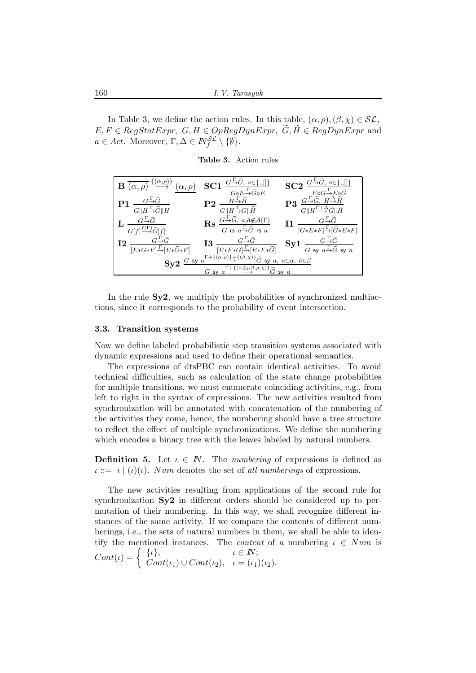In Table 3, we define the action rules. In this table,  $(\alpha, \rho), (\beta, \chi) \in \mathcal{SL}$ ,  $E, F \in RegStatexpr$ ,  $G, H \in OpRegDynExpr$ ,  $\widetilde{G}, \widetilde{H} \in RegDynExpr$  and  $a \in Act$ . Moreover,  $\Gamma, \Delta \in \mathbb{N}_f^{\mathcal{SL}} \setminus \{\emptyset\}.$ 

Table 3. Action rules



In the rule  $Sy2$ , we multiply the probabilities of synchronized multiactions, since it corresponds to the probability of event intersection.

#### 3.3. Transition systems

Now we define labeled probabilistic step transition systems associated with dynamic expressions and used to define their operational semantics.

The expressions of dtsPBC can contain identical activities. To avoid technical difficulties, such as calculation of the state change probabilities for multiple transitions, we must enumerate coinciding activities, e.g., from left to right in the syntax of expressions. The new activities resulted from synchronization will be annotated with concatenation of the numbering of the activities they come, hence, the numbering should have a tree structure to reflect the effect of multiple synchronizations. We define the numbering which encodes a binary tree with the leaves labeled by natural numbers.

**Definition 5.** Let  $\iota \in \mathbb{N}$ . The *numbering* of expressions is defined as  $\iota ::= \iota \mid (\iota)(\iota)$ . Num denotes the set of *all numberings* of expressions.

The new activities resulting from applications of the second rule for synchronization Sy2 in different orders should be considered up to permutation of their numbering. In this way, we shall recognize different instances of the same activity. If we compare the contents of different numberings, i.e., the sets of natural numbers in them, we shall be able to identify the mentioned instances. The *content* of a numbering  $\iota \in Num$  is  $Cont(\iota) = \begin{cases} {\iota}, & \iota \in I\!\!N; \\ Cont(\iota) & \iota = (\iota) \end{cases}$  $Cont(\iota_1) \cup Cont(\iota_2), \quad \iota = (\iota_1)(\iota_2).$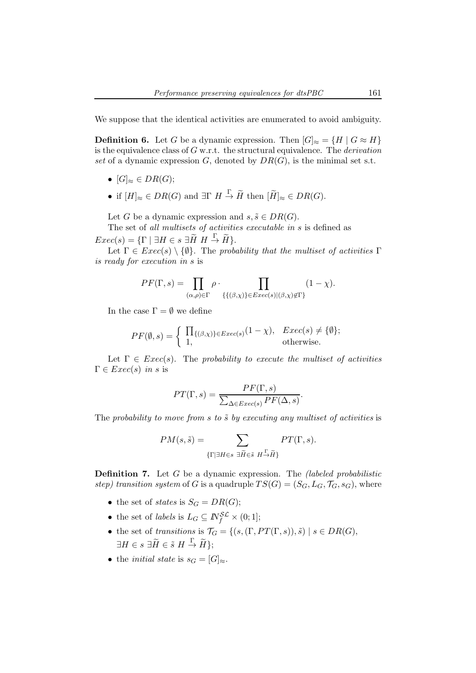We suppose that the identical activities are enumerated to avoid ambiguity.

**Definition 6.** Let G be a dynamic expression. Then  $|G|_{\approx} = \{H \mid G \approx H\}$ is the equivalence class of G w.r.t. the structural equivalence. The *derivation* set of a dynamic expression  $G$ , denoted by  $DR(G)$ , is the minimal set s.t.

- $[G]_{\approx} \in DR(G);$
- if  $[H]_{\approx} \in DR(G)$  and  $\exists \Gamma \ H \stackrel{\Gamma}{\to} \widetilde{H}$  then  $[\widetilde{H}]_{\approx} \in DR(G)$ .

Let G be a dynamic expression and  $s, \tilde{s} \in DR(G)$ .

The set of *all multisets of activities executable in* s is defined as  $Exec(s) = {\Gamma \mid \exists H \in s \exists \widetilde{H} \ H \stackrel{\Gamma}{\rightarrow} \widetilde{H}}.$ 

Let  $\Gamma \in \text{Exec}(s) \setminus \{\emptyset\}$ . The *probability that the multiset of activities*  $\Gamma$ *is ready for execution in* s is

$$
PF(\Gamma, s) = \prod_{(\alpha, \rho) \in \Gamma} \rho \cdot \prod_{\{\{(\beta, \chi)\}\in Excel(s)|(\beta, \chi) \notin \Gamma\}} (1 - \chi).
$$

In the case  $\Gamma = \emptyset$  we define

$$
PF(\emptyset, s) = \begin{cases} \prod_{\{(\beta, \chi)\}\in \text{Exec}(s)} (1 - \chi), & \text{Exec}(s) \neq \{\emptyset\}; \\ 1, & \text{otherwise.} \end{cases}
$$

Let  $\Gamma \in \text{Exec}(s)$ . The *probability to execute the multiset of activities*  $\Gamma \in \text{Exec}(s)$  *in s* is

$$
PT(\Gamma, s) = \frac{PF(\Gamma, s)}{\sum_{\Delta \in Exec(s)} PF(\Delta, s)}.
$$

The *probability to move from* s to  $\tilde{s}$  by executing any multiset of activities is

$$
PM(s, \tilde{s}) = \sum_{\{\Gamma \mid \exists H \in s \ \exists \tilde{H} \in \tilde{s} \ H \stackrel{\Gamma}{\rightarrow} \tilde{H}\}} PT(\Gamma, s).
$$

Definition 7. Let G be a dynamic expression. The *(labeled probabilistic step)* transition system of G is a quadruple  $TS(G) = (S_G, L_G, \mathcal{T}_G, s_G)$ , where

- the set of *states* is  $S_G = DR(G);$
- the set of *labels* is  $L_G \subseteq \mathbb{N}_f^{\mathcal{SL}} \times (0,1];$
- the set of *transitions* is  $\mathcal{T}_G = \{ (s, (\Gamma, PT(\Gamma, s)), \tilde{s}) \mid s \in DR(G), \}$  $\exists H \in s \; \exists \widetilde{H} \in \tilde{s} \; H \stackrel{\Gamma}{\to} \widetilde{H} \};$
- the *initial state* is  $s_G = [G]_{\approx}$ .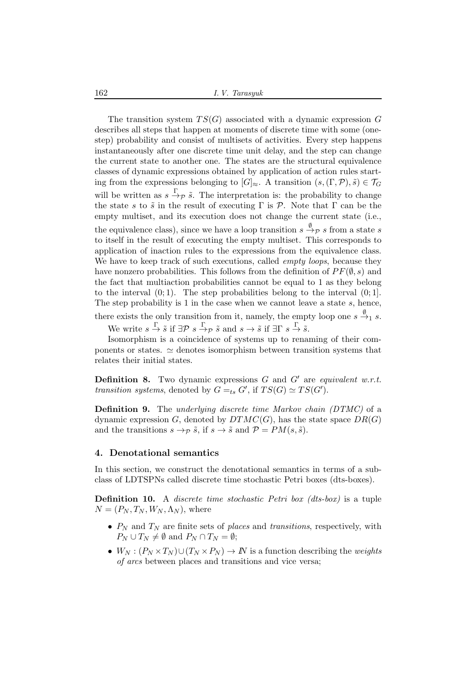162 *I. V. Tarasyuk*

The transition system  $TS(G)$  associated with a dynamic expression G describes all steps that happen at moments of discrete time with some (onestep) probability and consist of multisets of activities. Every step happens instantaneously after one discrete time unit delay, and the step can change the current state to another one. The states are the structural equivalence classes of dynamic expressions obtained by application of action rules starting from the expressions belonging to  $[G]_{\approx}$ . A transition  $(s,(\Gamma, \mathcal{P}), \tilde{s}) \in \mathcal{T}_G$ will be written as  $s \stackrel{\Gamma}{\rightarrow} \tilde{\rho} \tilde{s}$ . The interpretation is: the probability to change the state s to  $\tilde{s}$  in the result of executing  $\Gamma$  is  $\mathcal{P}$ . Note that  $\Gamma$  can be the empty multiset, and its execution does not change the current state (i.e., the equivalence class), since we have a loop transition  $s \stackrel{\emptyset}{\rightarrow} \mathcal{P} s$  from a state  $s$ to itself in the result of executing the empty multiset. This corresponds to application of inaction rules to the expressions from the equivalence class. We have to keep track of such executions, called *empty loops*, because they have nonzero probabilities. This follows from the definition of  $PF(\emptyset, s)$  and the fact that multiaction probabilities cannot be equal to 1 as they belong to the interval  $(0, 1)$ . The step probabilities belong to the interval  $(0, 1]$ . The step probability is 1 in the case when we cannot leave a state  $s$ , hence, there exists the only transition from it, namely, the empty loop one  $s \stackrel{\emptyset}{\rightarrow}_1 s$ . We write  $s \stackrel{\Gamma}{\to} \tilde{s}$  if  $\exists \mathcal{P} \ s \stackrel{\Gamma}{\to} \mathcal{P} \ \tilde{s}$  and  $s \to \tilde{s}$  if  $\exists \Gamma \ s \stackrel{\Gamma}{\to} \tilde{s}$ .

Isomorphism is a coincidence of systems up to renaming of their components or states.  $\simeq$  denotes isomorphism between transition systems that relates their initial states.

Definition 8. Two dynamic expressions G and G′ are *equivalent w.r.t. transition systems*, denoted by  $G =_{ts} G'$ , if  $TS(G) \simeq TS(G')$ .

Definition 9. The *underlying discrete time Markov chain (DTMC)* of a dynamic expression G, denoted by  $DTMC(G)$ , has the state space  $DR(G)$ and the transitions  $s \to \tilde{s}$ , if  $s \to \tilde{s}$  and  $\mathcal{P} = PM(s, \tilde{s})$ .

# 4. Denotational semantics

In this section, we construct the denotational semantics in terms of a subclass of LDTSPNs called discrete time stochastic Petri boxes (dts-boxes).

Definition 10. A *discrete time stochastic Petri box (dts-box)* is a tuple  $N = (P_N, T_N, W_N, \Lambda_N)$ , where

- $P_N$  and  $T_N$  are finite sets of *places* and *transitions*, respectively, with  $P_N \cup T_N \neq \emptyset$  and  $P_N \cap T_N = \emptyset$ ;
- $W_N : (P_N \times T_N) \cup (T_N \times P_N) \to \mathbb{N}$  is a function describing the *weights of arcs* between places and transitions and vice versa;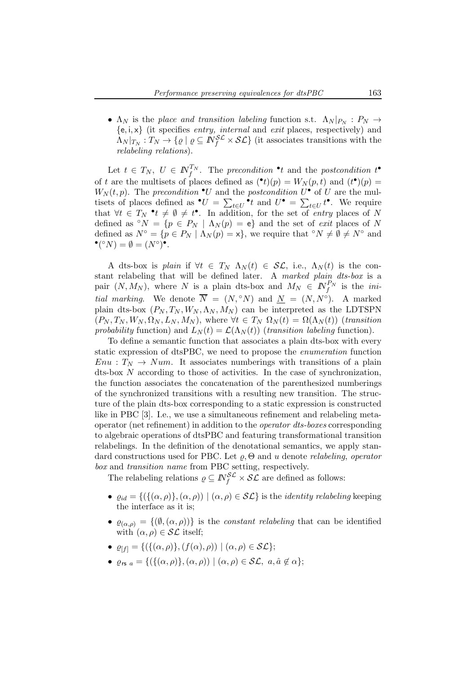•  $\Lambda_N$  is the *place and transition labeling* function s.t.  $\Lambda_N|_{P_N}: P_N \to$ {e, i, x} (it specifies *entry, internal* and *exit* places, respectively) and  $\Lambda_N|_{T_N}:T_N\to\{\varrho\mid\varrho\subseteq\mathbb{N}^{\mathcal{SL}}_f\times\mathcal{SL}\}$  (it associates transitions with the *relabeling relations*).

Let  $t \in T_N$ ,  $U \in \mathbb{N}_{f}^{T_N}$ . The *precondition*  $\mathbf{t}$  and the *postcondition*  $t^{\bullet}$ of t are the multisets of places defined as  $(\bullet t)(p) = W_N(p, t)$  and  $(t^{\bullet})(p) =$  $W_N(t, p)$ . The *precondition*  $\bullet U$  and the *postcondition*  $U^{\bullet}$  of U are the multisets of places defined as  $\bullet U = \sum_{t \in U} \bullet_t$  and  $U \bullet = \sum_{t \in U} t \bullet$ . We require that  $\forall t \in T_N$   $\bullet_t \neq \emptyset \neq t$ <sup>o</sup>. In addition, for the set of *entry* places of N defined as  $\circ N = \{p \in P_N \mid \Lambda_N(p) = e\}$  and the set of *exit* places of N defined as  $N^{\circ} = \{p \in P_N \mid \Lambda_N(p) = x\}$ , we require that  $\circ N \neq \emptyset \neq N^{\circ}$  and  $\bullet$  (°N) =  $\emptyset = (N^{\circ})^{\bullet}$ .

A dts-box is *plain* if  $\forall t \in T_N$   $\Lambda_N(t) \in \mathcal{SL}$ , i.e.,  $\Lambda_N(t)$  is the constant relabeling that will be defined later. A *marked plain dts-box* is a pair  $(N, M_N)$ , where N is a plain dts-box and  $M_N \in N_f^{P_N}$  is the *initial marking*. We denote  $\overline{N} = (N, \degree N)$  and  $\underline{N} = (N, N^{\degree})$ . A marked plain dts-box  $(P_N, T_N, W_N, \Lambda_N, M_N)$  can be interpreted as the LDTSPN  $(P_N, T_N, W_N, \Omega_N, L_N, M_N)$ , where  $\forall t \in T_N$   $\Omega_N(t) = \Omega(\Lambda_N(t))$  (*transition*) *probability* function) and  $L_N(t) = \mathcal{L}(\Lambda_N(t))$  (*transition labeling* function).

To define a semantic function that associates a plain dts-box with every static expression of dtsPBC, we need to propose the *enumeration* function  $Enu : T_N \to Num$ . It associates numberings with transitions of a plain dts-box N according to those of activities. In the case of synchronization, the function associates the concatenation of the parenthesized numberings of the synchronized transitions with a resulting new transition. The structure of the plain dts-box corresponding to a static expression is constructed like in PBC [3]. I.e., we use a simultaneous refinement and relabeling metaoperator (net refinement) in addition to the *operator dts-boxes* corresponding to algebraic operations of dtsPBC and featuring transformational transition relabelings. In the definition of the denotational semantics, we apply standard constructions used for PBC. Let ̺, Θ and u denote *relabeling*, *operator box* and *transition name* from PBC setting, respectively.

The relabeling relations  $\rho \subseteq \mathbb{N}_{f}^{\mathcal{SL}} \times \mathcal{SL}$  are defined as follows:

- $\varrho_{id} = \{ (\{(\alpha, \rho)\}, (\alpha, \rho)) \mid (\alpha, \rho) \in \mathcal{SL} \}$  is the *identity relabeling* keeping the interface as it is;
- $\varrho_{(\alpha,\rho)} = \{(\emptyset,(\alpha,\rho))\}$  is the *constant relabeling* that can be identified with  $(\alpha, \rho) \in \mathcal{SL}$  itself:
- $\rho_{[f]} = \{ (\{(\alpha, \rho)\}, (f(\alpha), \rho)) \mid (\alpha, \rho) \in \mathcal{SL} \};$
- $\rho_{rs\ a} = \{ (\{ (\alpha, \rho) \}, (\alpha, \rho)) \mid (\alpha, \rho) \in \mathcal{SL}, \ a, \hat{a} \notin \alpha \};$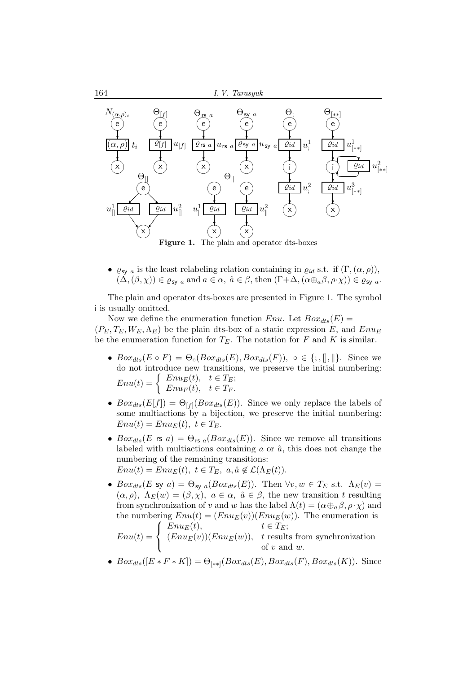

**Figure 1.** The plain and operator dts-boxes

•  $\varrho_{\text{sv } a}$  is the least relabeling relation containing in  $\varrho_{id}$  s.t. if  $(\Gamma, (\alpha, \rho)),$  $(\Delta,(\beta,\chi)) \in \varrho_{sy}$  a and  $a \in \alpha$ ,  $\hat{a} \in \beta$ , then  $(\Gamma+\Delta,(\alpha \oplus_a \beta,\rho \cdot \chi)) \in \varrho_{sy}$  a.

The plain and operator dts-boxes are presented in Figure 1. The symbol i is usually omitted.

Now we define the enumeration function Enu. Let  $Box_{dts}(E)$  =  $(P_E, T_E, W_E, \Lambda_E)$  be the plain dts-box of a static expression E, and  $E_{\text{B}}$ be the enumeration function for  $T_E$ . The notation for F and K is similar.

- $Box_{dts}(E \circ F) = \Theta_{\circ}(Box_{dts}(E),Box_{dts}(F)), \circ \in \{\, ; , \| , \| \}.$  Since we do not introduce new transitions, we preserve the initial numbering:  $Enu(t) = \begin{cases} Enu_E(t), & t \in T_E; \\ Enu_E(t), & t \in T. \end{cases}$  $Enu<sub>F</sub>(t), t \in T<sub>F</sub>.$
- $Box_{dts}(E[f]) = \Theta_{[f]}(Box_{dts}(E)).$  Since we only replace the labels of some multiactions by a bijection, we preserve the initial numbering:  $Enu(t) = Enu_E(t), t \in T_E.$
- $Box_{dts}(E \text{ rs } a) = \Theta_{\text{rs } a}(Box_{dts}(E)).$  Since we remove all transitions labeled with multiactions containing  $a$  or  $\hat{a}$ , this does not change the numbering of the remaining transitions:  $Enu(t) = Enu_E(t), t \in T_E, a, \hat{a} \notin \mathcal{L}(\Lambda_E(t)).$
- $Box_{dts}(E \text{ sy } a) = \Theta_{\text{sy } a}(Box_{dts}(E))$ . Then  $\forall v, w \in T_E \text{ s.t. } \Lambda_E(v) =$  $(\alpha, \rho)$ ,  $\Lambda_E(w) = (\beta, \chi)$ ,  $a \in \alpha$ ,  $\hat{a} \in \beta$ , the new transition t resulting from synchronization of v and w has the label  $\Lambda(t) = (\alpha \oplus_{a} \beta, \rho \cdot \chi)$  and the numbering  $Env(t) = (Env<sub>E</sub>(v))(Env<sub>E</sub>(w))$ . The enumeration is  $Enu(t) =$  $\sqrt{ }$  $\mathbf{J}$  $\mathbf{I}$  $Enu<sub>E</sub>(t), \t t \in T<sub>E</sub>$ ;  $(Enu<sub>E</sub>(v))(Enu<sub>E</sub>(w)),$  t results from synchronization of  $v$  and  $w$ .
- $Box_{dts}([E * F * K]) = \Theta_{[**]}(Box_{dts}(E), Box_{dts}(F), Box_{dts}(K)).$  Since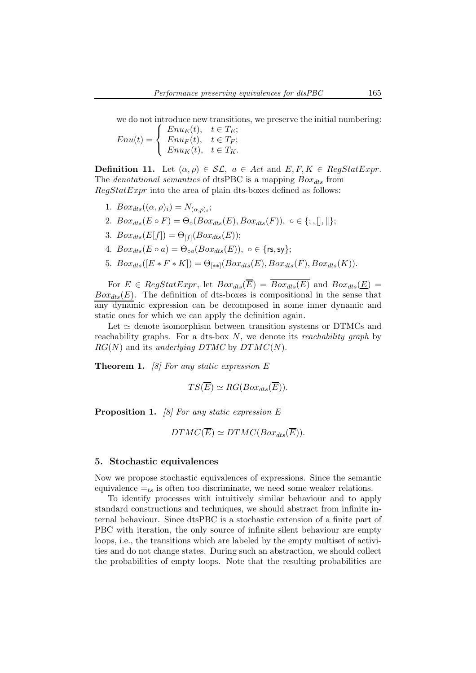we do not introduce new transitions, we preserve the initial numbering:

 $Enu(t) =$  $\sqrt{ }$  $\frac{1}{2}$  $\mathbf{I}$  $Enu<sub>E</sub>(t), t \in T<sub>E</sub>;$  $Enu<sub>F</sub>(t), t \in T<sub>F</sub>;$  $Enu_K(t)$ ,  $t \in T_K$ .

**Definition 11.** Let  $(\alpha, \rho) \in \mathcal{SL}$ ,  $a \in Act$  and  $E, F, K \in RegStatExpr$ . The *denotational semantics* of dtsPBC is a mapping  $Box_{dts}$  from  $RegStatExpr$  into the area of plain dts-boxes defined as follows:

- 1.  $Box_{dts}((\alpha, \rho)_i) = N_{(\alpha, \rho)_i};$
- 2.  $Box_{dts}(E \circ F) = \Theta_{\circ}(Box_{dts}(E), Box_{dts}(F)), \circ \in \{; , \|, \| \};$
- 3.  $Box_{dts}(E[f]) = \Theta_{[f]}(Box_{dts}(E));$
- 4.  $Box_{dts}(E \circ a) = \Theta_{oa}(Box_{dts}(E))$ ,  $\circ \in \{rs, sy\};$
- 5.  $Box_{dts}([E * F * K]) = \Theta_{[**]}(Box_{dts}(E), Box_{dts}(F), Box_{dts}(K)).$

For  $E \in RegStatexpr$ , let  $Box_{dts}(\overline{E}) = \overline{Box_{dts}(E)}$  and  $Box_{dts}(\underline{E}) =$  $Box_{dts}(E)$ . The definition of dts-boxes is compositional in the sense that any dynamic expression can be decomposed in some inner dynamic and static ones for which we can apply the definition again.

Let  $\simeq$  denote isomorphism between transition systems or DTMCs and reachability graphs. For a dts-box N, we denote its *reachability graph* by  $RG(N)$  and its *underlying DTMC* by  $DTMC(N)$ .

Theorem 1. *[8] For any static expression* E

$$
TS(\overline{E}) \simeq RG(Box_{dts}(\overline{E})).
$$

Proposition 1. *[8] For any static expression* E

 $DTMC(\overline{E}) \simeq DTMC(Box_{dts}(\overline{E})).$ 

### 5. Stochastic equivalences

Now we propose stochastic equivalences of expressions. Since the semantic equivalence  $=_{ts}$  is often too discriminate, we need some weaker relations.

To identify processes with intuitively similar behaviour and to apply standard constructions and techniques, we should abstract from infinite internal behaviour. Since dtsPBC is a stochastic extension of a finite part of PBC with iteration, the only source of infinite silent behaviour are empty loops, i.e., the transitions which are labeled by the empty multiset of activities and do not change states. During such an abstraction, we should collect the probabilities of empty loops. Note that the resulting probabilities are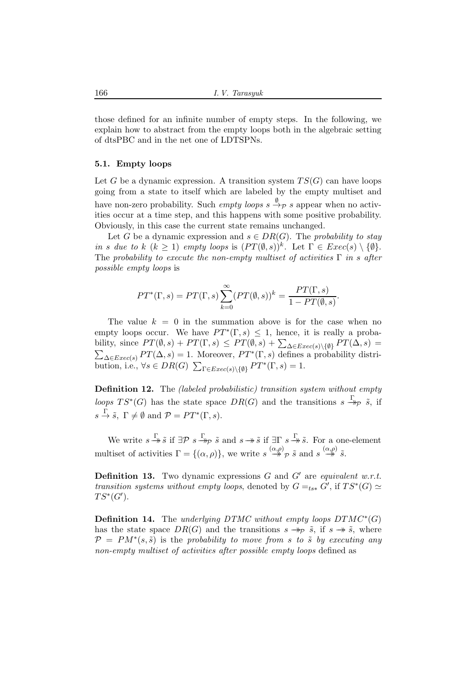those defined for an infinite number of empty steps. In the following, we explain how to abstract from the empty loops both in the algebraic setting of dtsPBC and in the net one of LDTSPNs.

# 5.1. Empty loops

Let G be a dynamic expression. A transition system  $TS(G)$  can have loops going from a state to itself which are labeled by the empty multiset and have non-zero probability. Such *empty loops*  $s \stackrel{\emptyset}{\rightarrow} p$  s appear when no activities occur at a time step, and this happens with some positive probability. Obviously, in this case the current state remains unchanged.

Let G be a dynamic expression and  $s \in DR(G)$ . The *probability to stay in s due to*  $k$  ( $k \geq 1$ ) *empty loops* is  $(PT(\emptyset, s))^k$ . Let  $\Gamma \in \text{Exec}(s) \setminus \{\emptyset\}.$ The *probability to execute the non-empty multiset of activities* Γ *in* s *after possible empty loops* is

$$
PT^*(\Gamma, s) = PT(\Gamma, s) \sum_{k=0}^{\infty} (PT(\emptyset, s))^k = \frac{PT(\Gamma, s)}{1 - PT(\emptyset, s)}.
$$

The value  $k = 0$  in the summation above is for the case when no empty loops occur. We have  $PT^*(\Gamma,s) \leq 1$ , hence, it is really a probability, since  $PT(\emptyset, s) + PT(\Gamma, s) \leq PT(\emptyset, s) + \sum_{\Delta \in Excel(s) \setminus \{\emptyset\}} PT(\Delta, s) =$  $\sum_{\Delta \in E; \text{tree}(s)} PT(\Delta, s) = 1.$  Moreover,  $PT^*(\Gamma, s)$  defines a probability distribution, i.e.,  $\forall s \in DR(G)$   $\sum_{\Gamma \in Exercise(s) \setminus \{\emptyset\}} PT^*(\Gamma, s) = 1$ .

Definition 12. The *(labeled probabilistic) transition system without empty loops*  $TS^*(G)$  has the state space  $DR(G)$  and the transitions  $s \stackrel{\Gamma}{\rightarrow} p \tilde{s}$ , if  $s \stackrel{\Gamma}{\rightarrow} \tilde{s}$ ,  $\Gamma \neq \emptyset$  and  $\mathcal{P} = PT^*(\Gamma, s)$ .

We write  $s \stackrel{\Gamma}{\twoheadrightarrow} \tilde{s}$  if  $\exists \mathcal{P} \ s \stackrel{\Gamma}{\twoheadrightarrow} \tilde{s}$  and  $s \twoheadrightarrow \tilde{s}$  if  $\exists \Gamma \ s \stackrel{\Gamma}{\twoheadrightarrow} \tilde{s}$ . For a one-element multiset of activities  $\Gamma = \{(\alpha, \rho)\}\$ , we write  $s \stackrel{(\alpha, \rho)}{\longrightarrow} \tilde{s}$  and  $s \stackrel{(\alpha, \rho)}{\longrightarrow} \tilde{s}$ .

Definition 13. Two dynamic expressions G and G′ are *equivalent w.r.t. transition systems without empty loops*, denoted by  $G =_{ts*} G'$ , if  $TS^*(G) \simeq$  $TS^*(G')$ .

**Definition 14.** The *underlying DTMC without empty loops*  $DTMC^*(G)$ has the state space  $DR(G)$  and the transitions  $s \rightarrow p \tilde{s}$ , if  $s \rightarrow \tilde{s}$ , where  $\mathcal{P} = PM^*(s, \tilde{s})$  is the *probability to move from s to*  $\tilde{s}$  *by executing any non-empty multiset of activities after possible empty loops* defined as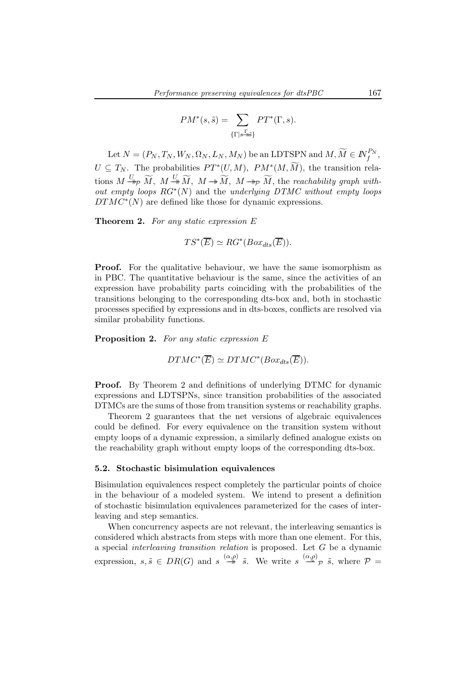$$
PM^*(s, \tilde{s}) = \sum_{\{\Gamma \mid s \to \tilde{s}\}} PT^*(\Gamma, s).
$$

Let  $N = (P_N, T_N, W_N, \Omega_N, L_N, M_N)$  be an LDTSPN and  $M, \widetilde{M} \in I\!\!N_f^{P_N},$  $U \subseteq T_N$ . The probabilities  $PT^*(U, M)$ ,  $PM^*(M, M)$ , the transition relations  $M \xrightarrow{U} \widetilde{M}$ ,  $M \xrightarrow{U} \widetilde{M}$ ,  $M \rightarrow \widetilde{M}$ ,  $M \rightarrow p \widetilde{M}$ , the *reachability graph without empty loops* RG<sup>∗</sup> (N) and the *underlying DTMC without empty loops*  $DTMC^*(N)$  are defined like those for dynamic expressions.

Theorem 2. *For any static expression* E

$$
TS^*(\overline{E}) \simeq RG^*(Box_{dts}(\overline{E})).
$$

**Proof.** For the qualitative behaviour, we have the same isomorphism as in PBC. The quantitative behaviour is the same, since the activities of an expression have probability parts coinciding with the probabilities of the transitions belonging to the corresponding dts-box and, both in stochastic processes specified by expressions and in dts-boxes, conflicts are resolved via similar probability functions.

Proposition 2. *For any static expression* E

 $DTMC^*(\overline{E}) \simeq DTMC^*(Box_{dts}(\overline{E})).$ 

**Proof.** By Theorem 2 and definitions of underlying DTMC for dynamic expressions and LDTSPNs, since transition probabilities of the associated DTMCs are the sums of those from transition systems or reachability graphs.

Theorem 2 guarantees that the net versions of algebraic equivalences could be defined. For every equivalence on the transition system without empty loops of a dynamic expression, a similarly defined analogue exists on the reachability graph without empty loops of the corresponding dts-box.

#### 5.2. Stochastic bisimulation equivalences

Bisimulation equivalences respect completely the particular points of choice in the behaviour of a modeled system. We intend to present a definition of stochastic bisimulation equivalences parameterized for the cases of interleaving and step semantics.

When concurrency aspects are not relevant, the interleaving semantics is considered which abstracts from steps with more than one element. For this, a special *interleaving transition relation* is proposed. Let G be a dynamic expression,  $s, \tilde{s} \in DR(G)$  and  $s \stackrel{(\alpha,\rho)}{\rightarrow} \tilde{s}$ . We write  $s \stackrel{(\alpha,\rho)}{\rightarrow} \tilde{s}$ , where  $\mathcal{P} =$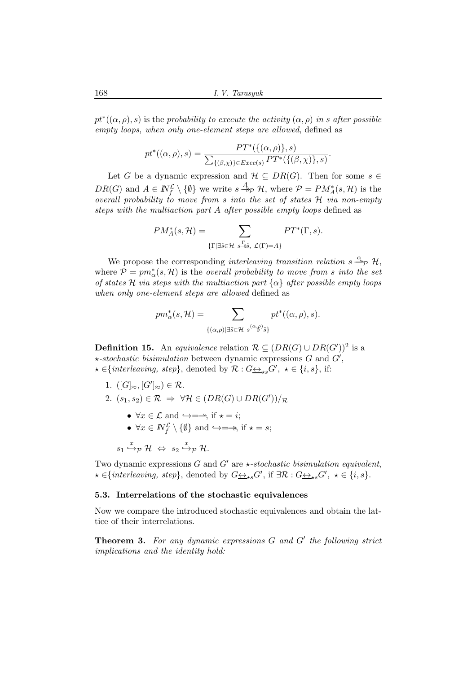168 *I. V. Tarasyuk*

 $pt^*(\alpha, \rho), s)$  is the *probability to execute the activity*  $(\alpha, \rho)$  *in* s after possible *empty loops, when only one-element steps are allowed*, defined as

$$
pt^*((\alpha,\rho),s) = \frac{PT^*(\{(\alpha,\rho)\},s)}{\sum_{\{(\beta,\chi)\}\in Exc(s)}PT^*(\{(\beta,\chi)\},s)}.
$$

Let G be a dynamic expression and  $\mathcal{H} \subseteq DR(G)$ . Then for some  $s \in$  $DR(G)$  and  $A \in \mathbb{N}_{f}^{\mathcal{L}} \setminus \{\emptyset\}$  we write  $s \stackrel{A}{\rightarrow}_{\mathcal{P}} \mathcal{H}$ , where  $\mathcal{P} = PM_{A}^{*}(s, \mathcal{H})$  is the *overall probability to move from* s *into the set of states* H *via non-empty steps with the multiaction part* A *after possible empty loops* defined as

$$
PM_A^*(s, \mathcal{H}) = \sum_{\{\Gamma \mid \exists \tilde{s} \in \mathcal{H} \ s \to \tilde{s}, \ \mathcal{L}(\Gamma) = A\}} PT^*(\Gamma, s).
$$

We propose the corresponding *interleaving transition relation*  $s \stackrel{\alpha}{\longrightarrow} \mathcal{P}$  H, where  $P = pm^*_{\alpha}(s, \mathcal{H})$  is the *overall probability to move from* s *into the set of states* H *via steps with the multiaction part* {α} *after possible empty loops when only one-element steps are allowed* defined as

$$
pm_{\alpha}^{*}(s,\mathcal{H})=\sum_{\{(\alpha,\rho)\mid \exists \tilde{s}\in\mathcal{H}}\; s^{\left(\alpha,\rho\right)\tilde{s}\tilde{\}}}\; pt^{*}((\alpha,\rho),s).
$$

**Definition 15.** An *equivalence* relation  $\mathcal{R} \subseteq (DR(G) \cup DR(G'))^2$  is a  $\star$ -stochastic bisimulation between dynamic expressions  $G$  and  $G'$ ,  $\star \in \{interleaving, step\}$ , denoted by  $\mathcal{R}: G \rightarrow_{\star s} G', \star \in \{i, s\}$ , if:

- 1.  $([G]_{\approx}, [G']_{\approx}) \in \mathcal{R}$ .
- 2.  $(s_1, s_2) \in \mathcal{R} \Rightarrow \forall \mathcal{H} \in (DR(G) \cup DR(G'))/\mathcal{R}$ 
	- $\forall x \in \mathcal{L}$  and  $\hookrightarrow = \rightarrow$ , if  $\star = i$ ;
	- $\forall x \in \mathbb{N}_f^{\mathcal{L}} \setminus \{\emptyset\}$  and  $\hookrightarrow = \rightarrow$ , if  $\star = s$ ;

$$
s_1 \stackrel{x}{\hookrightarrow} _{\mathcal{P}} \mathcal{H} \Leftrightarrow s_2 \stackrel{x}{\hookrightarrow} _{\mathcal{P}} \mathcal{H}.
$$

Two dynamic expressions G and  $G'$  are  $\star$ -stochastic bisimulation equivalent,  $\star \in \{interleaving, \ step\}$ , denoted by  $G \leftrightarrow_{\star s} G'$ , if  $\exists \mathcal{R} : G \leftrightarrow_{\star s} G'$ ,  $\star \in \{i, s\}$ .

# 5.3. Interrelations of the stochastic equivalences

Now we compare the introduced stochastic equivalences and obtain the lattice of their interrelations.

Theorem 3. *For any dynamic expressions* G *and* G′ *the following strict implications and the identity hold:*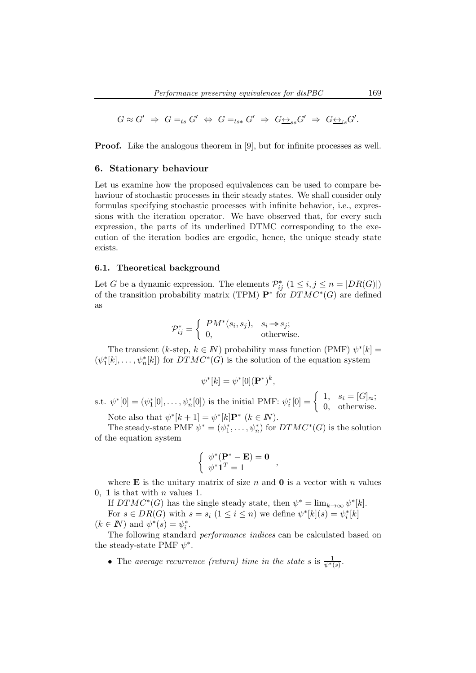$$
G \approx G' \Rightarrow G =_{ts} G' \Leftrightarrow G =_{ts*} G' \Rightarrow G \underline{\leftrightarrow}_{ss} G' \Rightarrow G \underline{\leftrightarrow}_{is} G'.
$$

**Proof.** Like the analogous theorem in [9], but for infinite processes as well.

### 6. Stationary behaviour

Let us examine how the proposed equivalences can be used to compare behaviour of stochastic processes in their steady states. We shall consider only formulas specifying stochastic processes with infinite behavior, i.e., expressions with the iteration operator. We have observed that, for every such expression, the parts of its underlined DTMC corresponding to the execution of the iteration bodies are ergodic, hence, the unique steady state exists.

#### 6.1. Theoretical background

Let G be a dynamic expression. The elements  $\mathcal{P}_{ij}^*$   $(1 \leq i, j \leq n = |DR(G)|)$ of the transition probability matrix (TPM)  $\mathbf{P}^*$  for  $DTMC^*(G)$  are defined as

$$
\mathcal{P}_{ij}^* = \begin{cases} PM^*(s_i, s_j), & s_i \to s_j; \\ 0, & \text{otherwise.} \end{cases}
$$

The transient (k-step,  $k \in \mathbb{N}$ ) probability mass function (PMF)  $\psi^*[k] =$  $(\psi_1^*[k], \ldots, \psi_n^*[k])$  for  $DTMC^*(G)$  is the solution of the equation system

$$
\psi^*[k] = \psi^*[0](\mathbf{P}^*)^k,
$$

s.t.  $\psi^*[0] = (\psi_1^*[0], \ldots, \psi_n^*[0])$  is the initial PMF:  $\psi_i^*[0] = \begin{cases} 1, & s_i = [G]_{\approx}; \\ 0, & \text{otherwise} \end{cases}$ 0, otherwise.

Note also that  $\psi^*[k+1] = \psi^*[k] \mathbf{P}^*$   $(k \in \mathbb{N})$ .

The steady-state PMF  $\psi^* = (\psi_1^*, \dots, \psi_n^*)$  for  $DTMC^*(G)$  is the solution of the equation system

$$
\begin{cases}\n\psi^*(\mathbf{P}^* - \mathbf{E}) = \mathbf{0} \\
\psi^* \mathbf{1}^T = 1\n\end{cases}
$$

where **E** is the unitary matrix of size n and **0** is a vector with n values 0, 1 is that with  $n$  values 1.

If  $DTMC^*(G)$  has the single steady state, then  $\psi^* = \lim_{k \to \infty} \psi^*[k]$ . For  $s \in DR(G)$  with  $s = s_i$   $(1 \leq i \leq n)$  we define  $\psi^*[k](s) = \psi_i^*[k]$  $(k \in \mathbb{N})$  and  $\psi^*(s) = \psi_i^*$ .

The following standard *performance indices* can be calculated based on the steady-state PMF  $\psi^*$ .

• The *average recurrence (return) time in the state* s is  $\frac{1}{\psi^*(s)}$ .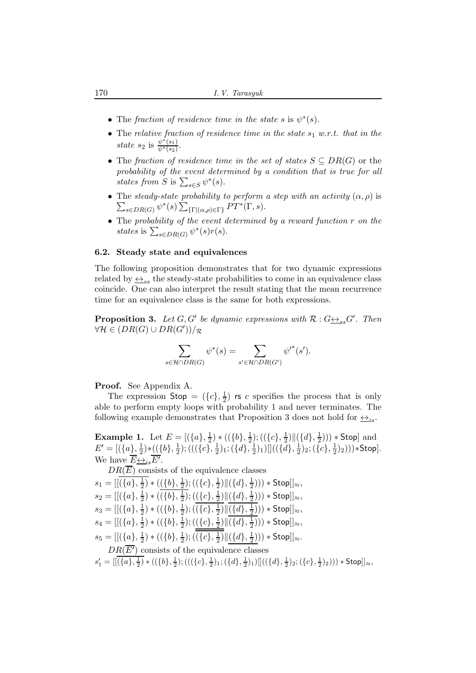- The *fraction of residence time in the state* s is  $\psi^*(s)$ .
- The *relative fraction of residence time in the state*  $s_1$  *w.r.t. that in the state*  $s_2$  is  $\frac{\psi^*(s_1)}{\psi^*(s_2)}$ .
- The *fraction of residence time in the set of states* S ⊆ DR(G) or the *probability of the event determined by a condition that is true for all* states from S is  $\sum_{s \in S} \psi^*(s)$ .
- The *steady-state probability to perform a step with an activity*  $(\alpha, \rho)$  is  $\sum_{s\in DR(G)} \psi^*(s) \sum_{\{\Gamma | (\alpha,\rho)\in \Gamma\}} PT^*(\Gamma,s).$
- The *probability of the event determined by a reward function* r *on the* states is  $\sum_{s \in DR(G)} \psi^*(s) r(s)$ .

# 6.2. Steady state and equivalences

The following proposition demonstrates that for two dynamic expressions related by  $\leftrightarrow_{ss}$  the steady-state probabilities to come in an equivalence class coincide. One can also interpret the result stating that the mean recurrence time for an equivalence class is the same for both expressions.

**Proposition 3.** Let  $G, G'$  be dynamic expressions with  $\mathcal{R}: G \rightarrow S} G'$ . Then  $\forall \mathcal{H} \in (DR(G) \cup DR(G'))/\mathcal{R}$ 

$$
\sum_{s \in \mathcal{H} \cap DR(G)} \psi^*(s) = \sum_{s' \in \mathcal{H} \cap DR(G')} \psi'^*(s').
$$

Proof. See Appendix A.

The expression  $\mathsf{Stop} = (\{c\}, \frac{1}{2})$  $\frac{1}{2}$ ) is c specifies the process that is only able to perform empty loops with probability 1 and never terminates. The following example demonstrates that Proposition 3 does not hold for  $\leftrightarrow$ <sub>is</sub>.

**Example 1.** Let  $E = [(\{a\}, \frac{1}{2})]$  $\frac{1}{2}$ ) \* (({b},  $\frac{1}{2}$  $(\{\overline{c}\},\frac{1}{2})$  $\frac{1}{2})\|(\{d\},\frac{1}{2}$  $(\frac{1}{2}))) *$  Stop] and  $E'=[(\{a\},\frac{1}{2})]$  $(\{\b} \}, \frac{1}{2})$ \* $((\{b\}, \frac{1}{2})$  $(\overline{\{c\}}, \frac{1}{2})$  $(\{d\},\frac{1}{2})_1$ ;  $(\{d\},\frac{1}{2})$  $(\{\bar{d}\},\frac{1}{2})$ 1) $[](\{\bar{d}\},\frac{1}{2})$  $(\overline{\{c\}},\frac{1}{2})$  $(\frac{1}{2})_2$ ))) $\ast$ Stop]. We have  $\overline{E} \underline{\leftrightarrow}_{is} \overline{E'}$ .

 $DR(\overline{E})$  consists of the equivalence classes  $s_1 = [[(\{a\},\frac{1}{2})$  $(\frac{1}{2}) * ((b), \frac{1}{2})$  $(\{c\},\frac{1}{2})$  $\frac{1}{2})$ || $({d}, \frac{1}{2})$  $(\frac{1}{2}))) *$  Stop]] $_{\approx}$ ,  $s_2 = [[(\{a\},\frac{1}{2})$  $(\{b\},\frac{1}{2})$  \*  $((\{b\},\frac{1}{2})$  $(\{\{c\},\frac{1}{2})$  $\frac{1}{2})\|(\{d\},\frac{1}{2})$  $(\frac{1}{2})$ )  $*$  Stop]] $\approx$ ,  $s_3 = [[(\{a\},\frac{1}{2})$  $(\{b\},\frac{1}{2})$  \*  $((\{b\},\frac{1}{2})$  $(\cfrac{1}{2}); ((\cfrac{1}{2}, \frac{1}{2})$  $\frac{1}{2})\|(\{d\},\frac{1}{2})$  $(\frac{1}{2})$ )  $\ast$  Stop]] $\approx$ ,  $s_4 = [[(\{a\},\frac{1}{2})$  $(\{b\},\frac{1}{2})$  \*  $((\{b\},\frac{1}{2})$  $(\{\{c\},\frac{1}{2})$  $\frac{1}{2}) \| (\{d\},\frac{1}{2})$  $(\frac{1}{2}))) *$  Stop]] $_{\approx}$ ,  $s_5 = [[(\{a\},\frac{1}{2})$  $(\{b\},\frac{1}{2})$  \*  $((\{b\},\frac{1}{2})$  $(\cfrac{1}{2}); ((\cfrac{1}{2}, \frac{1}{2})$  $\frac{1}{2})\|(\{d\},\frac{1}{2})$  $(\frac{1}{2})$ )  $*$  Stop]] $\approx$ .  $DR(\overline{E'})$  consists of the equivalence classes  $s'_1 = [[\overline{(\{a\},\frac{1}{2})}\ast((\{b\},\frac{1}{2});(((\{c\},\frac{1}{2})_1;(\{d\},\frac{1}{2})_1)]]((\{d\},\frac{1}{2})_2;(\{c\},\frac{1}{2})_2))) \ast \mathsf{Stop}]]_{\approx},$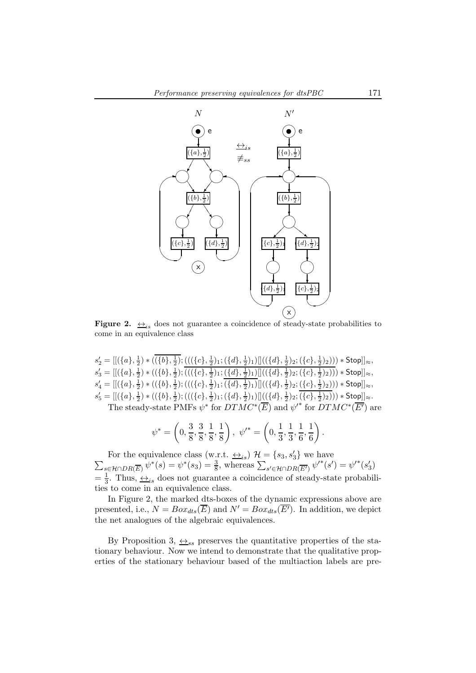

**Figure 2.**  $\leftrightarrow$ <sub>is</sub> does not guarantee a coincidence of steady-state probabilities to come in an equivalence class

$$
s'_2 = [[(\{a\}, \frac{1}{2}) * ((\overline{\{b\}, \frac{1}{2})}; (((\{c\}, \frac{1}{2})_1; (\{d\}, \frac{1}{2})_1)]]((\{d\}, \frac{1}{2})_2; (\{c\}, \frac{1}{2})_2))) * Stop]] \approx,
$$
  
\n
$$
s'_3 = [[(\{a\}, \frac{1}{2}) * ((\{b\}, \frac{1}{2}); (((\{c\}, \frac{1}{2})_1; (\{d\}, \frac{1}{2})_1)]]((\{d\}, \frac{1}{2})_2; (\{c\}, \frac{1}{2})_2))) * Stop]] \approx,
$$
  
\n
$$
s'_4 = [[(\{a\}, \frac{1}{2}) * ((\{b\}, \frac{1}{2}); (((\{c\}, \frac{1}{2})_1; (\{d\}, \frac{1}{2})_1)]]((\{d\}, \frac{1}{2})_2; (\{c\}, \frac{1}{2})_2))) * Stop]] \approx,
$$
  
\n
$$
s'_5 = [[(\{a\}, \frac{1}{2}) * ((\{b\}, \frac{1}{2}); (((\{c\}, \frac{1}{2})_1; (\{d\}, \frac{1}{2})_1)]]((\{d\}, \frac{1}{2})_2; (\{c\}, \frac{1}{2})_2))) * Stop]] \approx.
$$
  
\nThe steady-state PMFs  $s'^*$  for DTMC\*(F) and  $s'^*$  for DTMC\*(F') are

The steady-state PMFs 
$$
\psi^*
$$
 for  $DTMC^*(\overline{E})$  and  $\psi'^*$  for  $DTMC^*(\overline{E'})$  are

$$
\psi^* = \left(0, \frac{3}{8}, \frac{3}{8}, \frac{1}{8}, \frac{1}{8}\right), \ \psi'^* = \left(0, \frac{1}{3}, \frac{1}{3}, \frac{1}{6}, \frac{1}{6}\right).
$$

For the equivalence class (w.r.t.  $\leftrightarrow_{is}$ )  $\mathcal{H} = \{s_3, s'_3\}$ <br>  $\sum_{s_3 \in \mathcal{H} \cap \mathcal{D}(\overline{\mathcal{D}})} \psi^*(s) = \psi^*(s_3) = \frac{3}{5}$ , whereas  $\sum_{s_3 \in \mathcal{H} \cap \mathcal{D}(\overline{\mathcal{D}})} \psi^*(s_3)$ } we have  $s \in \mathcal{H} \cap DR(\overline{E}) \psi^*(s) = \psi^*(s_3) = \frac{3}{8},$  whereas  $\sum_{s' \in \mathcal{H} \cap DR(\overline{E'})} \psi'^*(s') = \psi'^*(s'_3)$  $=\frac{1}{3}$ . Thus,  $\underline{\leftrightarrow}_{is}$  does not guarantee a coincidence of steady-state probabilities to come in an equivalence class.

In Figure 2, the marked dts-boxes of the dynamic expressions above are presented, i.e.,  $N = Box_{dts}(\overline{E})$  and  $N' = Box_{dts}(\overline{E'})$ . In addition, we depict the net analogues of the algebraic equivalences.

By Proposition 3,  $\leftrightarrow_{ss}$  preserves the quantitative properties of the stationary behaviour. Now we intend to demonstrate that the qualitative properties of the stationary behaviour based of the multiaction labels are pre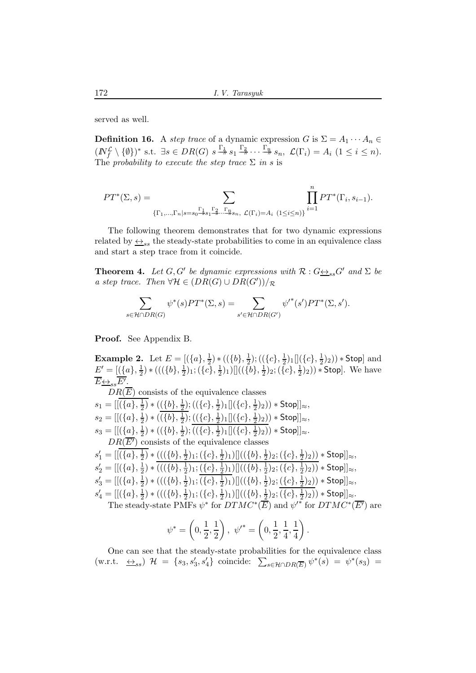served as well.

**Definition 16.** A *step trace* of a dynamic expression G is  $\Sigma = A_1 \cdots A_n \in$  $(N_f^{\mathcal{L}} \setminus \{\emptyset\})^*$  s.t.  $\exists s \in DR(G)$   $s \stackrel{\Gamma_1}{\rightarrow} s_1 \stackrel{\Gamma_2}{\rightarrow} \cdots \stackrel{\Gamma_n}{\rightarrow} s_n$ ,  $\mathcal{L}(\Gamma_i) = A_i$   $(1 \leq i \leq n)$ . The *probability to execute the step trace*  $\Sigma$  *in* s is

$$
PT^{*}(\Sigma, s) = \sum_{\{\Gamma_{1}, \dots, \Gamma_{n} | s = s_{0} \xrightarrow{r_{1}} s_{1} \xrightarrow{r_{2}} \dots \xrightarrow{r_{n}} s_{n}, \mathcal{L}(\Gamma_{i}) = A_{i}} \prod_{i=1}^{n} PT^{*}(\Gamma_{i}, s_{i-1}).
$$

The following theorem demonstrates that for two dynamic expressions related by  $\leftrightarrow_{ss}$  the steady-state probabilities to come in an equivalence class and start a step trace from it coincide.

**Theorem 4.** Let  $G, G'$  be dynamic expressions with  $\mathcal{R}: G \rightarrow S_{ss}G'$  and  $\Sigma$  be *a step trace.* Then  $\forall \mathcal{H} \in (DR(G) \cup DR(G'))/\mathcal{R}$ 

$$
\sum_{s \in \mathcal{H} \cap DR(G)} \psi^*(s) PT^*(\Sigma, s) = \sum_{s' \in \mathcal{H} \cap DR(G')} \psi'^*(s') PT^*(\Sigma, s').
$$

Proof. See Appendix B.

**Example 2.** Let  $E = [(\{a\}, \frac{1}{2})]$  $(\{b\},\frac{1}{2})$  \* ( $(\{b\},\frac{1}{2})$  $(\{\overline{c}\},\frac{1}{2})$  $\frac{1}{2}$ )1 $[(c], \frac{1}{2}$  $(\frac{1}{2})_2$ ) \* Stop] and  $E'=[(\{a\},\frac{1}{2})]$  $(\{\{b\},\frac{1}{2}\})$  \* (( $(\{\{b\},\frac{1}{2}\})$  $(\cfrac{1}{2})_1; (\cfrac{1}{2})_1$  $(\frac{1}{2})_1)$   $[(\{b\}, \frac{1}{2})_1]$  $(\cfrac{1}{2})_2; (\cfrac{1}{2})$  $(\frac{1}{2})_2$ ) \* Stop]. We have  $\overline{E} \underline{\leftrightarrow}_{ss} \overline{E^{\prime}}$ .  $DR(\overline{E})$  consists of the equivalence classes  $s_1 = [[(\{a\},\frac{1}{2})$  $(\frac{1}{2}) * ((b), \frac{1}{2})$  $(\{c\},\frac{1}{2})$  $\frac{1}{2}$ )1 $[(c], \frac{1}{2}]$  $(\frac{1}{2})_2)) *$  Stop]] $\approx$ ,  $s_2 = [[(\{a\},\frac{1}{2})$  $(\{b\},\frac{1}{2})$  \*  $((\{b\},\frac{1}{2})$  $(\{\overline{c}\},\frac{1}{2})$  $\frac{1}{2}$ )1 $[(c], \frac{1}{2}$  $(\frac{1}{2})_2)) *$  Stop]] $\approx$ ,  $s_3 = [[(\{a\},\frac{1}{2})$  $(\{b\},\frac{1}{2})$  \*  $((\{b\},\frac{1}{2})$  $(\cfrac{1}{2}); ((c, \frac{1}{2})$  $\frac{1}{2}$ )<sub>1</sub> $[(c], \frac{1}{2})$  $(\frac{1}{2})_2$ ) \* Stop]] $_{\approx}$ .  $DR(\overline{E'})$  consists of the equivalence classes  $s'_1 = [[(\{a\}, \frac{1}{2})]$  $(\frac{1}{2}) * ((\{b\}, \frac{1}{2})$  $(\cfrac{1}{2})_1; (\cfrac{1}{2})_1$  $(\frac{1}{2})_1)$   $[(\{b\}, \frac{1}{2})_1]$  $(\cfrac{1}{2})_2; (\cfrac{1}{2})$  $(\frac{1}{2})_2)) *$  Stop]] $_{\approx}$ ,  $s'_2 = [[(\{a\}, \frac{1}{2})]$  $(\{\{b\},\frac{1}{2}) * ((\{b\},\frac{1}{2})$  $(\cfrac{1}{2})_1; (\cfrac{1}{2})_1$  $(\frac12)_1)[[(\{b\},\frac12$  $(\cfrac{1}{2})_2; (\cfrac{1}{2})$  $(\frac{1}{2})_2)) *$  Stop]] $\approx$ ,  $s'_3 = [[(\{a\},\frac{1}{2})$  $(\{\{b\},\frac{1}{2}) * ((\{b\},\frac{1}{2})$  $(\cfrac{1}{2})_1; (\cfrac{1}{2})_1$  $(\frac{1}{2})_1)$   $[(\{b\},\frac{1}{2})_1]$  $(\cfrac{1}{2})_2; (\cfrac{1}{2})_2$  $(\frac{1}{2})_2)) *$  Stop]] $\approx$ ,  $s'_4 = [[(\{a\},\frac{1}{2})$  $(\{\{b\},\frac{1}{2}) * ((\{b\},\frac{1}{2})$  $(\cfrac{1}{2})_1; (\cfrac{1}{2})$  $(\frac{1}{2})_1)\|((\{b\},\frac{1}{2})$  $(\cfrac{1}{2})_2; (\{c\},\frac{1}{2})$  $(\frac{1}{2})_2)) * \mathsf{Stop}]]_{\approx}.$ The steady-state PMFs  $\psi^*$  for  $DTMC^*(\overline{E})$  and  ${\psi'}^*$  for  $DTMC^*(\overline{E'})$  are

$$
\psi^* = \left(0, \frac{1}{2}, \frac{1}{2}\right), \ \psi'^* = \left(0, \frac{1}{2}, \frac{1}{4}, \frac{1}{4}\right).
$$

One can see that the steady-state probabilities for the equivalence class  $(w.r.t. \Leftrightarrow_{ss})$   $\mathcal{H} = \{s_3, s'_3, s'_4\}$  coincide:  $\sum_{s \in \mathcal{H} \cap DR(\overline{E})} \psi^*(s) = \psi^*(s_3) =$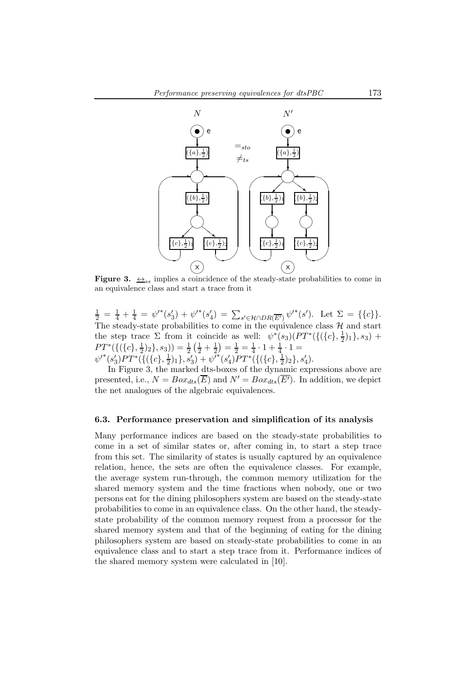

**Figure 3.**  $\leftrightarrow$ <sub>ss</sub> implies a coincidence of the steady-state probabilities to come in an equivalence class and start a trace from it

 $\frac{1}{2} = \frac{1}{4} + \frac{1}{4} = \psi'^*(s_3') + \psi'^*(s_4') = \sum_{s' \in \mathcal{H} \cap DR(\overline{E'})} \psi'^*(s')$ . Let  $\Sigma = \{\{c\}\}.$ The steady-state probabilities to come in the equivalence class  $\mathcal{H}$  and start the step trace  $\Sigma$  from it coincide as well:  $\psi^*(s_3)(PT^*(\{\{\zeta\},\frac{1}{2})$  $(\frac{1}{2})_1\}, s_3) +$  $PT^*(\{(\{c\},\frac{1}{2})$  $(\frac{1}{2})_2$ ,  $s_3$ )) =  $\frac{1}{2}(\frac{1}{2} + \frac{1}{2})$  $\frac{1}{2}$ ) =  $\frac{1}{2}$  =  $\frac{1}{4}$  $\frac{1}{4} \cdot 1 + \frac{1}{4} \cdot 1 =$  ${\psi'}^*(s'_3)PT^*(\{(\{c\},\frac{1}{2}$  $(\{c\},\frac{1}{2})$ <sub>1</sub> $),s'_3) + \psi^{\tilde{\prime}*}(s'_4)PT^{*}(\{(\{c\},\frac{1}{2})\})$  $\frac{1}{2}$ <sub>2</sub> $\}, s'_{4}$ .

In Figure 3, the marked dts-boxes of the dynamic expressions above are presented, i.e.,  $N = Box_{dts}(\overline{E})$  and  $N' = Box_{dts}(\overline{E'})$ . In addition, we depict the net analogues of the algebraic equivalences.

#### 6.3. Performance preservation and simplification of its analysis

Many performance indices are based on the steady-state probabilities to come in a set of similar states or, after coming in, to start a step trace from this set. The similarity of states is usually captured by an equivalence relation, hence, the sets are often the equivalence classes. For example, the average system run-through, the common memory utilization for the shared memory system and the time fractions when nobody, one or two persons eat for the dining philosophers system are based on the steady-state probabilities to come in an equivalence class. On the other hand, the steadystate probability of the common memory request from a processor for the shared memory system and that of the beginning of eating for the dining philosophers system are based on steady-state probabilities to come in an equivalence class and to start a step trace from it. Performance indices of the shared memory system were calculated in [10].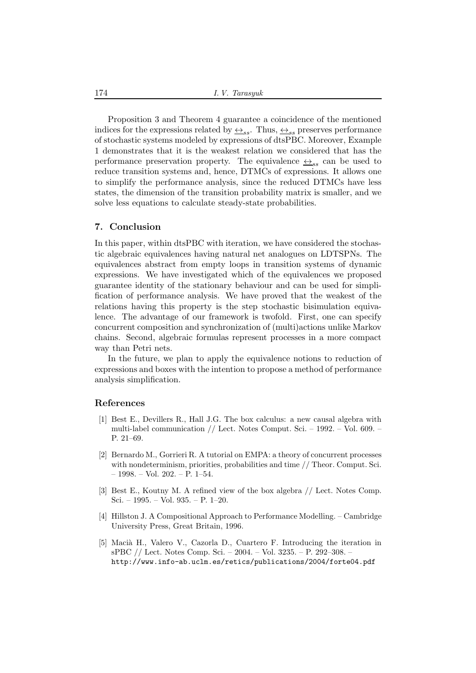174 *I. V. Tarasyuk*

Proposition 3 and Theorem 4 guarantee a coincidence of the mentioned indices for the expressions related by  $\leftrightarrow_{ss}$ . Thus,  $\leftrightarrow_{ss}$  preserves performance of stochastic systems modeled by expressions of dtsPBC. Moreover, Example 1 demonstrates that it is the weakest relation we considered that has the performance preservation property. The equivalence  $\leftrightarrow_{ss}$  can be used to reduce transition systems and, hence, DTMCs of expressions. It allows one to simplify the performance analysis, since the reduced DTMCs have less states, the dimension of the transition probability matrix is smaller, and we solve less equations to calculate steady-state probabilities.

# 7. Conclusion

In this paper, within dtsPBC with iteration, we have considered the stochastic algebraic equivalences having natural net analogues on LDTSPNs. The equivalences abstract from empty loops in transition systems of dynamic expressions. We have investigated which of the equivalences we proposed guarantee identity of the stationary behaviour and can be used for simplification of performance analysis. We have proved that the weakest of the relations having this property is the step stochastic bisimulation equivalence. The advantage of our framework is twofold. First, one can specify concurrent composition and synchronization of (multi)actions unlike Markov chains. Second, algebraic formulas represent processes in a more compact way than Petri nets.

In the future, we plan to apply the equivalence notions to reduction of expressions and boxes with the intention to propose a method of performance analysis simplification.

#### References

- [1] Best E., Devillers R., Hall J.G. The box calculus: a new causal algebra with multi-label communication // Lect. Notes Comput. Sci. – 1992. – Vol. 609. – P. 21–69.
- [2] Bernardo M., Gorrieri R. A tutorial on EMPA: a theory of concurrent processes with nondeterminism, priorities, probabilities and time // Theor. Comput. Sci. – 1998. – Vol. 202. – P. 1–54.
- [3] Best E., Koutny M. A refined view of the box algebra // Lect. Notes Comp. Sci. – 1995. – Vol. 935. – P. 1–20.
- [4] Hillston J. A Compositional Approach to Performance Modelling. Cambridge University Press, Great Britain, 1996.
- [5] Macià H., Valero V., Cazorla D., Cuartero F. Introducing the iteration in sPBC // Lect. Notes Comp. Sci. – 2004. – Vol. 3235. – P. 292–308. – http://www.info-ab.uclm.es/retics/publications/2004/forte04.pdf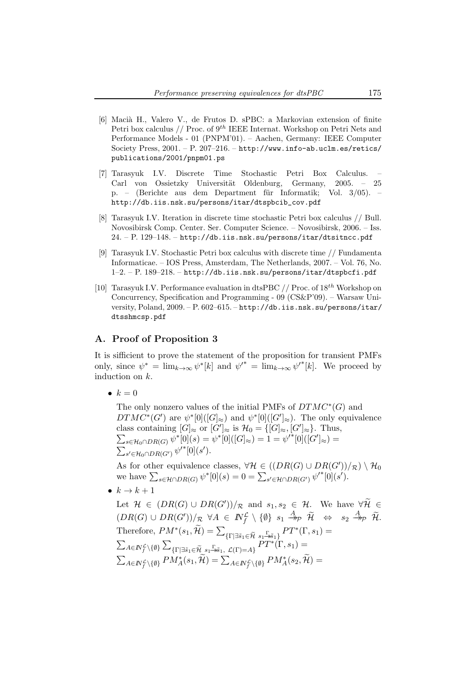- [6] Macià H., Valero V., de Frutos D. sPBC: a Markovian extension of finite Petri box calculus // Proc. of  $9<sup>th</sup>$  IEEE Internat. Workshop on Petri Nets and Performance Models - 01 (PNPM'01). – Aachen, Germany: IEEE Computer Society Press, 2001. – P. 207–216. – http://www.info-ab.uclm.es/retics/ publications/2001/pnpm01.ps
- [7] Tarasyuk I.V. Discrete Time Stochastic Petri Box Calculus. Carl von Ossietzky Universität Oldenburg, Germany, 2005. – 25 p. – (Berichte aus dem Department für Informatik; Vol. 3/05). – http://db.iis.nsk.su/persons/itar/dtspbcib\_cov.pdf
- [8] Tarasyuk I.V. Iteration in discrete time stochastic Petri box calculus // Bull. Novosibirsk Comp. Center. Ser. Computer Science. – Novosibirsk, 2006. – Iss.  $24. - P. 129 - 148. - http://db.ii.s.nsk.su/persons/itar/dtsitncc.pdf$
- [9] Tarasyuk I.V. Stochastic Petri box calculus with discrete time // Fundamenta Informaticae. – IOS Press, Amsterdam, The Netherlands, 2007. – Vol. 76, No. 1–2. – P. 189–218. – http://db.iis.nsk.su/persons/itar/dtspbcfi.pdf
- [10] Tarasyuk I.V. Performance evaluation in dtsPBC // Proc. of  $18^{th}$  Workshop on Concurrency, Specification and Programming - 09 (CS&P'09). – Warsaw University, Poland, 2009. – P. 602–615. – http://db.iis.nsk.su/persons/itar/ dtsshmcsp.pdf

# A. Proof of Proposition 3

It is sifficient to prove the statement of the proposition for transient PMFs only, since  $\psi^* = \lim_{k \to \infty} \psi^*[k]$  and  $\psi'^* = \lim_{k \to \infty} \psi'^*[k]$ . We proceed by induction on k.

•  $k = 0$ 

The only nonzero values of the initial PMFs of  $DTMC^*(G)$  and  $DTMC^*(G')$  are  $\psi^*[0]([G]_{\approx})$  and  $\psi^*[0]([G']_{\approx})$ . The only equivalence class containing  $[G]_{\approx}$  or  $[G']_{\approx}$  is  $\mathcal{H}_0 = \{[G]_{\approx}, [G']_{\approx}\}.$  Thus,  $\sum_{s \in \mathcal{H}_0 \cap DR(G)} \overline{\psi^*}[0](s) = \psi^*[0]([G]_{\approx}) = 1 = \psi'^*[0]([G']_{\approx}) =$  $\sum_{s' \in \mathcal{H}_0 \cap DR(G')} \psi'^*[0](s').$ 

As for other equivalence classes,  $\forall \mathcal{H} \in ((DR(G) \cup DR(G'))_{\mathcal{R}}) \setminus \mathcal{H}_0$ we have  $\sum_{s \in \mathcal{H} \cap DR(G)} \psi^* [0](s) = 0 = \sum_{s' \in \mathcal{H} \cap DR(G')} \psi'^* [0](s').$ 

•  $k \rightarrow k+1$ 

Let  $\mathcal{H} \in (DR(G) \cup DR(G'))/R$  and  $s_1, s_2 \in \mathcal{H}$ . We have  $\forall \mathcal{H} \in$  $(DR(G) \cup DR(G'))/\mathcal{R} \ \ \forall A \ \in \ \mathit{IN}_{f}^{\mathcal{L}} \setminus \{\emptyset\} \ \ s_1 \stackrel{A}{\twoheadrightarrow} \mathcal{P} \ \ \widetilde{\mathcal{H}} \quad \Leftrightarrow \quad s_2 \stackrel{A}{\twoheadrightarrow} \mathcal{P} \ \ \widetilde{\mathcal{H}}.$ Therefore,  $PM^*(s_1, \widetilde{\mathcal{H}}) = \sum_{\{\Gamma \mid \exists \widetilde{s}_1 \in \widetilde{\mathcal{H}} \ s_1 = s \widetilde{s}_1\}} PT^*(\Gamma, s_1) =$  $\sum_{A\in I\!\!N_f^{\mathcal{L}}\setminus\{\emptyset\}}\sum_{\{\Gamma\mid \exists \tilde{s}_1\in \widetilde{\mathcal{H}}}\,\, s_1\overset{\Gamma}{\twoheadrightarrow} \tilde{s}_1,\ \mathcal{L}(\Gamma)=A\}}\tilde{PT}^*\tilde{(\Gamma,s_1)}=$  $\sum_{A\in I\!\!N_f^{\mathcal{L}}\setminus\{\emptyset\}}PM_{A}^{*}(s_1,\widetilde{\mathcal{H}})=\sum_{A\in I\!\!N_f^{\mathcal{L}}\setminus\{\emptyset\}}PM_{A}^{*}(s_2,\widetilde{\mathcal{H}})=$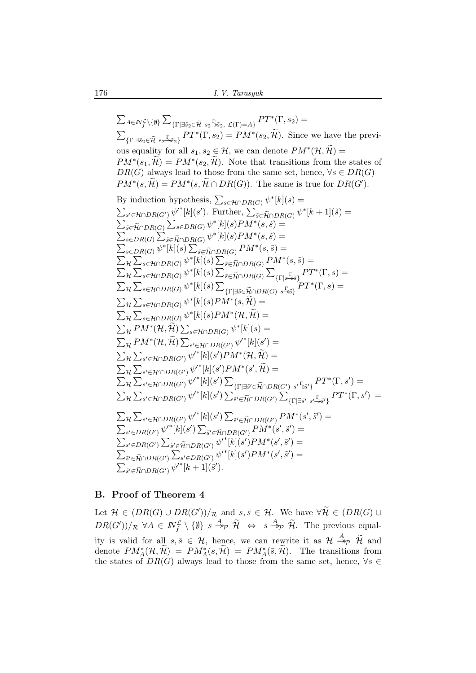$\sum_{A\in I\!\!N_f^{\mathcal{L}}\backslash\{\emptyset\}}\sum_{\{\Gamma\mid \exists \tilde{s}_2\in \tilde{\mathcal{H}}} \,\, s_2\overset{\Gamma}{\rightarrow} \tilde{s}_2,\,\, \mathcal{L}(\Gamma)=A\}}PT^*(\Gamma,s_2)=$  $\sum_{\{\Gamma|\exists \tilde{s}_2 \in \tilde{\mathcal{H}} \ s_2 \to \tilde{s}_2\}} PT^*(\Gamma, s_2) = PM^*(s_2, \tilde{\mathcal{H}}).$  Since we have the previous equality for all  $s_1, s_2 \in \mathcal{H}$ , we can denote  $PM^*(\mathcal{H}, \widetilde{\mathcal{H}}) =$  $PM^*(s_1, \tilde{\mathcal{H}}) = PM^*(s_2, \tilde{\mathcal{H}})$ . Note that transitions from the states of  $DR(G)$  always lead to those from the same set, hence,  $\forall s \in DR(G)$  $PM^*(s, \widetilde{\mathcal{H}}) = PM^*(s, \widetilde{\mathcal{H}} \cap DR(G)).$  The same is true for  $DR(G')$ . By induction hypothesis,  $\sum_{s \in \mathcal{H} \cap DR(G)} \psi^*[k](s) =$  $\sum_{s' \in \mathcal{H} \cap DR(G')} \psi'^*[k](s')$ . Further,  $\sum_{\tilde{s} \in \tilde{\mathcal{H}} \cap DR(G)} \psi^*[k+1](\tilde{s}) =$  $\sum_{\tilde{s}\in \tilde{\mathcal{H}}\cap DR(G)} \sum_{s\in DR(G)} \psi^*[k](s)PM^*(s,\tilde{s})=$  $\sum_{s\in DR(G)} \sum_{\tilde{s}\in \tilde{\mathcal{H}}\cap DR(G)} \psi^*[k](s)PM^*(s,\tilde{s})=$  $\sum_{s\in DR(G)}\psi^*[k](s)\sum_{\tilde{s}\in \tilde{\mathcal{H}}\cap DR(G)}PM^*(s,\tilde{s})=$  $\sum_{\mathcal{H}}\sum_{s\in\mathcal{H}\cap DR(G)}\psi^{*}[k](s)\sum_{\tilde{s}\in\tilde{\mathcal{H}}\cap DR(G)}PM^{*}(s,\tilde{s})=$  $\sum_{\mathcal{H}}\sum_{s\in\mathcal{H}\cap DR(G)}\psi^*[k](s)\sum_{\tilde{s}\in\tilde{\mathcal{H}}\cap DR(G)}\sum_{\{\Gamma|s\rightarrow\tilde{s}\}}PT^*(\Gamma,s)=$  $\sum_{\mathcal{H}}\sum_{s\in\mathcal{H}\cap DR(G)}\psi^*[k](s)\sum_{\{\Gamma\mid\exists\tilde{s}\in\tilde{\mathcal{H}}\cap DR(G)}\sum_{s\rightarrow\tilde{s}\}}PT^*(\Gamma,s)=$  $\sum_{\mathcal{H}}\sum_{s\in\mathcal{H}\cap DR(G)}\psi^{*}[k](s)PM^{*}(s,\widetilde{\mathcal{H}})=$  $\sum_{\mathcal{H}} \sum_{s \in \mathcal{H} \cap DR(G)} \psi^*[k](s) PM^*(\mathcal{H}, \widetilde{\mathcal{H}}) =$  $\sum_{\mathcal{H}}PM^*(\mathcal{H}, \widetilde{\mathcal{H}}) \sum_{s \in \mathcal{H} \cap DR(G)} \psi^*[k](s) =$  $\sum_{\mathcal{H}}PM^*(\mathcal{H}, \widetilde{\mathcal{H}}) \sum_{s' \in \mathcal{H} \cap DR(G')} {\psi'}^*[k](s') =$  $\sum_{\mathcal{H}} \sum_{s' \in \mathcal{H} \cap DR(G')} \psi'^*[k](s') P M^*(\mathcal{H}, \widetilde{\mathcal{H}}) =$  $\sum_{\mathcal{H}}\sum_{s'\in\mathcal{H}'\cap DR(G')} \psi'^*[k](s')PM^*(s',\widetilde{\mathcal{H}})=$  $\sum_{\mathcal{H}}\sum_{s'\in\mathcal{H}\cap DR(G')}\psi'^{*}[k](s')\sum_{\{\Gamma\mid\exists\tilde{s}'\in\tilde{\mathcal{H}}\cap DR(G')}\frac{\Gamma}{s'\cdot\tilde{\pi}^{s'}\}}PT^{*}(\Gamma,s')=$  $\sum_{\mathcal{H}}\sum_{s'\in\mathcal{H}\cap DR(G')}\psi'^{*}[k](s')\sum_{\tilde{s}'\in\widetilde{\mathcal{H}}\cap DR(G')}\sum_{\{\Gamma\mid\exists \tilde{s}'}\ s'\xrightarrow[\Gamma\preceq\tilde{s}']}\widetilde{PT}^{*}(\Gamma,s')\;=\;.$  $\sum_{\mathcal{H}}\sum_{s'\in\mathcal{H}\cap DR(G')} \psi'^*[k](s') \sum_{\tilde{s}'\in\tilde{\mathcal{H}}\cap DR(G')} PM^*(s',\tilde{s}') =$  $\sum_{s'\in DR(G')} \psi'^{*}[k](s') \sum_{\tilde{s}'\in \widetilde{\mathcal{H}} \cap DR(G')} PM^{*}(s',\tilde{s}')=$  $\sum_{s'\in DR(G')}\sum_{\widetilde{s}'\in \widetilde{\mathcal{H}}\cap DR(G')}\psi'^*[k](s')PM^*(s',\widetilde{s}')=$  $\sum_{\tilde{s}' \in \widetilde{\mathcal{H}} \cap DR(G')} \sum_{s' \in DR(G')} \psi'^*[k](s')PM^*(s',\tilde{s}') =$  $\sum_{\tilde{s}' \in \tilde{\mathcal{H}} \cap DR(G')} \psi'^*[k+1](\tilde{s}').$ 

# B. Proof of Theorem 4

Let  $\mathcal{H} \in (DR(G) \cup DR(G'))/R$  and  $s, \overline{s} \in \mathcal{H}$ . We have  $\forall \widetilde{\mathcal{H}} \in (DR(G) \cup$  $DR(G'))/R \,\,\forall A \in \mathbb{N}_f^{\mathcal{L}} \setminus \{\emptyset\} \,\, s \stackrel{A}{\Rightarrow}_{\mathcal{P}} \widetilde{\mathcal{H}} \ \ \Leftrightarrow \ \ \bar{s} \stackrel{A}{\Rightarrow}_{\mathcal{P}} \widetilde{\mathcal{H}}.$  The previous equality is valid for all  $s, \overline{s} \in H$ , hence, we can rewrite it as  $H \stackrel{A}{\rightarrow}_{\mathcal{P}} \widetilde{H}$  and denote  $PM_A^*(\mathcal{H}, \widetilde{\mathcal{H}}) = PM_A^*(s, \widetilde{\mathcal{H}}) = PM_A^*(\overline{s}, \widetilde{\mathcal{H}})$ . The transitions from the states of  $DR(G)$  always lead to those from the same set, hence,  $\forall s \in$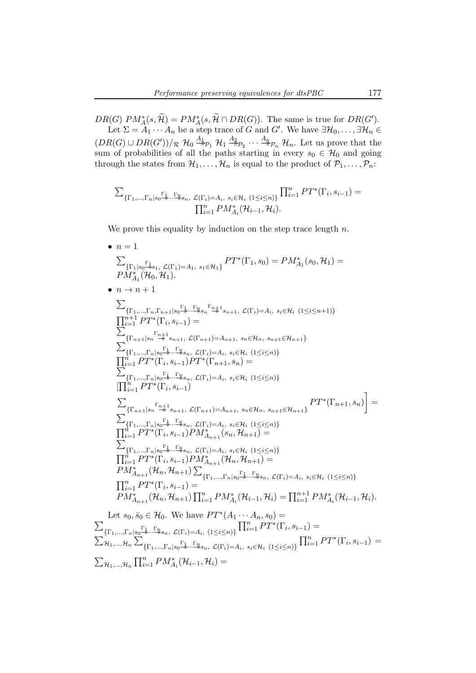$DR(G)$   $PM_A^*(s, \mathcal{H}) = PM_A^*(s, \mathcal{H} \cap DR(G))$ . The same is true for  $DR(G')$ . Let  $\Sigma = A_1 \cdots A_n$  be a step trace of G and G'. We have  $\exists \mathcal{H}_0, \ldots, \exists \mathcal{H}_n \in \mathcal{H}$  $(DR(G) \cup DR(G'))/R$   $\mathcal{H}_0 \stackrel{A_1}{\rightarrow} P_1$   $\mathcal{H}_1 \stackrel{A_2}{\rightarrow} P_2 \cdots \stackrel{A_n}{\rightarrow} P_n$   $\mathcal{H}_n$ . Let us prove that the sum of probabilities of all the paths starting in every  $s_0 \in \mathcal{H}_0$  and going through the states from  $\mathcal{H}_1, \ldots, \mathcal{H}_n$  is equal to the product of  $\mathcal{P}_1, \ldots, \mathcal{P}_n$ .

$$
\sum_{\{\Gamma_1,\ldots,\Gamma_n\mid s_0\stackrel{\Gamma_1}{\twoheadrightarrow}\ldots\stackrel{\Gamma_n}{\twoheadrightarrow}s_n,\ L(\Gamma_i)=A_i,\ s_i\in\mathcal{H}_i\ (1\leq i\leq n)\}}\prod_{i=1}^nPT^*(\Gamma_i,s_{i-1})=\prod_{i=1}^nPM^*_{A_i}(\mathcal{H}_{i-1},\mathcal{H}_i).
$$

We prove this equality by induction on the step trace length  $n$ .

• 
$$
n = 1
$$
  
\n
$$
\sum_{\{\Gamma_1|s_0\}=\lambda_1, \mathcal{L}(\Gamma_1)=A_1, s_1\in\mathcal{H}_1\}} P T^*(\Gamma_1, s_0) = P M_{A_1}^*(s_0, \mathcal{H}_1) = P M_{A_1}^*(\mathcal{H}_0, \mathcal{H}_1).
$$
\n•  $n \to n+1$   
\n
$$
\sum_{\{\Gamma_1,\ldots,\Gamma_n,\Gamma_{n+1}|s_0\}=\lambda_1,\ldots,\Gamma_{n+1}^*} P T^*(\Gamma_1, s_0) = P M_{A_1}^*(s_0, \mathcal{H}_1) =
$$
\n
$$
\sum_{\{\Gamma_1,\ldots,\Gamma_n\}=\lambda_1,\ldots,\Gamma_{n+1}^*} P T^*(\Gamma_1, s_{i-1}) =
$$
\n
$$
\sum_{\{\Gamma_1,\ldots,\Gamma_n\}=\lambda_1,\ldots,\Gamma_{n+1}^*} P T^*(\Gamma_1, s_{i-1}) =
$$
\n
$$
\sum_{\{\Gamma_1,\ldots,\Gamma_n\}=\lambda_1,\ldots,\Omega_{n+1}^*} P T^*(\Gamma_1, s_{i-1}) =
$$
\n
$$
\sum_{\{\Gamma_1,\ldots,\Gamma_n\}=\lambda_1,\ldots,\Omega_{n+1}^*} P T^*(\Gamma_1, s_{i-1}) =
$$
\n
$$
\sum_{\{\Gamma_1,\ldots,\Gamma_n\}=\lambda_1,\ldots,\Omega_{n+1}^*} P T^*(\Gamma_{n+1}, s_n) =
$$
\n
$$
\sum_{\{\Gamma_1,\ldots,\Gamma_n\}=\lambda_1,\ldots,\Omega_{n+1}^*} P T^*(\Gamma_1, s_{i-1})
$$
\n
$$
\sum_{\{\Gamma_{n+1}^*=\lambda_1,\ldots,\Omega_{n+1}^*} P T^*(\Gamma_1, s_{i-1}) = A_{i}, s_i\in\mathcal{H}_i \ (1\le i\le n) \}
$$
\n
$$
\prod_{i=1}^n P T^*(\Gamma_i, s_{i-1}) = M_{A_{n+1}}^*(s_n, \mathcal{H}_{n+1}) =
$$
\n
$$
\sum_{\{\Gamma_1,\ldots,\Gamma_n\}=\lambda_1,\ldots,\Omega_{n}}} P T^*(\Gamma_1, s_{i-1
$$